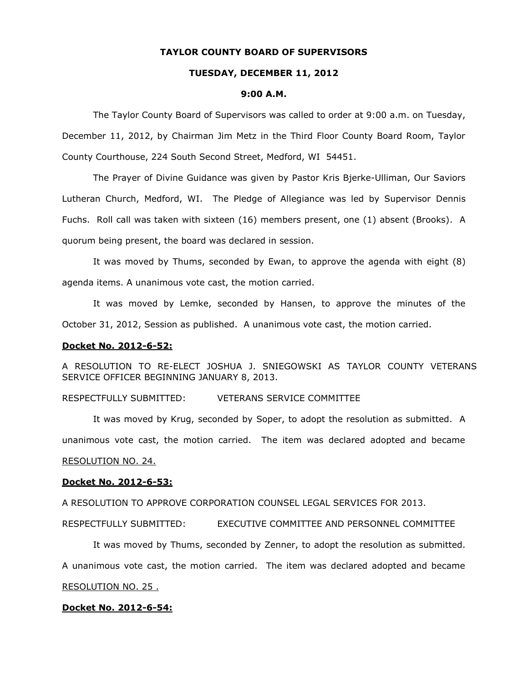## **TAYLOR COUNTY BOARD OF SUPERVISORS**

### **TUESDAY, DECEMBER 11, 2012**

#### **9:00 A.M.**

The Taylor County Board of Supervisors was called to order at 9:00 a.m. on Tuesday, December 11, 2012, by Chairman Jim Metz in the Third Floor County Board Room, Taylor County Courthouse, 224 South Second Street, Medford, WI 54451.

The Prayer of Divine Guidance was given by Pastor Kris Bjerke-Ulliman, Our Saviors Lutheran Church, Medford, WI. The Pledge of Allegiance was led by Supervisor Dennis Fuchs. Roll call was taken with sixteen (16) members present, one (1) absent (Brooks). A quorum being present, the board was declared in session.

It was moved by Thums, seconded by Ewan, to approve the agenda with eight (8) agenda items. A unanimous vote cast, the motion carried.

It was moved by Lemke, seconded by Hansen, to approve the minutes of the October 31, 2012, Session as published. A unanimous vote cast, the motion carried.

### **Docket No. 2012-6-52:**

A RESOLUTION TO RE-ELECT JOSHUA J. SNIEGOWSKI AS TAYLOR COUNTY VETERANS SERVICE OFFICER BEGINNING JANUARY 8, 2013.

## RESPECTFULLY SUBMITTED: VETERANS SERVICE COMMITTEE

It was moved by Krug, seconded by Soper, to adopt the resolution as submitted. A unanimous vote cast, the motion carried. The item was declared adopted and became RESOLUTION NO. 24.

#### **Docket No. 2012-6-53:**

A RESOLUTION TO APPROVE CORPORATION COUNSEL LEGAL SERVICES FOR 2013.

RESPECTFULLY SUBMITTED: EXECUTIVE COMMITTEE AND PERSONNEL COMMITTEE

It was moved by Thums, seconded by Zenner, to adopt the resolution as submitted.

A unanimous vote cast, the motion carried. The item was declared adopted and became

### RESOLUTION NO. 25 .

## **Docket No. 2012-6-54:**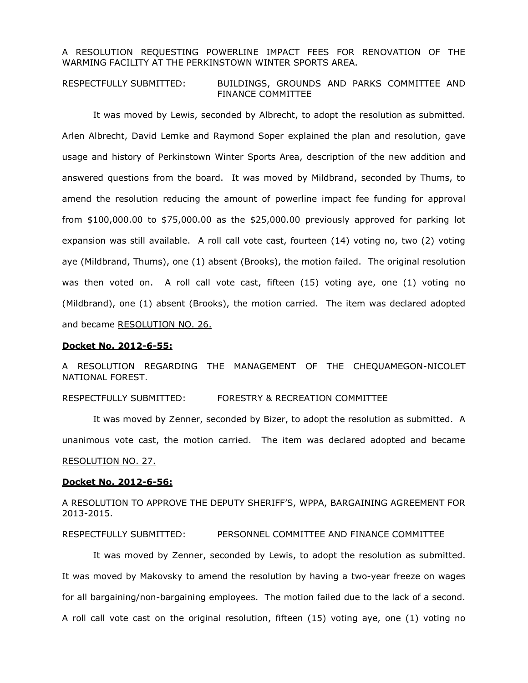## A RESOLUTION REQUESTING POWERLINE IMPACT FEES FOR RENOVATION OF THE WARMING FACILITY AT THE PERKINSTOWN WINTER SPORTS AREA.

## RESPECTFULLY SUBMITTED: BUILDINGS, GROUNDS AND PARKS COMMITTEE AND FINANCE COMMITTEE

It was moved by Lewis, seconded by Albrecht, to adopt the resolution as submitted. Arlen Albrecht, David Lemke and Raymond Soper explained the plan and resolution, gave usage and history of Perkinstown Winter Sports Area, description of the new addition and answered questions from the board. It was moved by Mildbrand, seconded by Thums, to amend the resolution reducing the amount of powerline impact fee funding for approval from  $$100,000.00$  to  $$75,000.00$  as the  $$25,000.00$  previously approved for parking lot expansion was still available. A roll call vote cast, fourteen (14) voting no, two (2) voting aye (Mildbrand, Thums), one (1) absent (Brooks), the motion failed. The original resolution was then voted on. A roll call vote cast, fifteen (15) voting aye, one (1) voting no (Mildbrand), one (1) absent (Brooks), the motion carried. The item was declared adopted and became RESOLUTION NO. 26.

### **Docket No. 2012-6-55:**

A RESOLUTION REGARDING THE MANAGEMENT OF THE CHEQUAMEGON-NICOLET NATIONAL FOREST.

## RESPECTFULLY SUBMITTED: FORESTRY & RECREATION COMMITTEE

It was moved by Zenner, seconded by Bizer, to adopt the resolution as submitted. A unanimous vote cast, the motion carried. The item was declared adopted and became RESOLUTION NO. 27.

#### **Docket No. 2012-6-56:**

A RESOLUTION TO APPROVE THE DEPUTY SHERIFF'S, WPPA, BARGAINING AGREEMENT FOR 2013-2015.

### RESPECTFULLY SUBMITTED: PERSONNEL COMMITTEE AND FINANCE COMMITTEE

It was moved by Zenner, seconded by Lewis, to adopt the resolution as submitted. It was moved by Makovsky to amend the resolution by having a two-year freeze on wages for all bargaining/non-bargaining employees. The motion failed due to the lack of a second. A roll call vote cast on the original resolution, fifteen (15) voting aye, one (1) voting no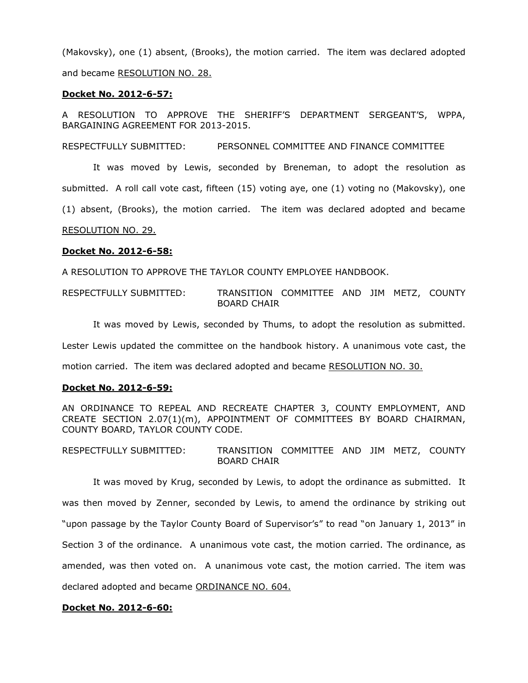(Makovsky), one (1) absent, (Brooks), the motion carried. The item was declared adopted and became RESOLUTION NO. 28.

### **Docket No. 2012-6-57:**

A RESOLUTION TO APPROVE THE SHERIFF'S DEPARTMENT SERGEANT'S, WPPA, BARGAINING AGREEMENT FOR 2013-2015.

RESPECTFULLY SUBMITTED: PERSONNEL COMMITTEE AND FINANCE COMMITTEE

It was moved by Lewis, seconded by Breneman, to adopt the resolution as submitted. A roll call vote cast, fifteen (15) voting aye, one (1) voting no (Makovsky), one (1) absent, (Brooks), the motion carried. The item was declared adopted and became RESOLUTION NO. 29.

## **Docket No. 2012-6-58:**

A RESOLUTION TO APPROVE THE TAYLOR COUNTY EMPLOYEE HANDBOOK.

RESPECTFULLY SUBMITTED: TRANSITION COMMITTEE AND JIM METZ, COUNTY BOARD CHAIR

It was moved by Lewis, seconded by Thums, to adopt the resolution as submitted. Lester Lewis updated the committee on the handbook history. A unanimous vote cast, the

motion carried. The item was declared adopted and became RESOLUTION NO. 30.

## **Docket No. 2012-6-59:**

AN ORDINANCE TO REPEAL AND RECREATE CHAPTER 3, COUNTY EMPLOYMENT, AND CREATE SECTION 2.07(1)(m), APPOINTMENT OF COMMITTEES BY BOARD CHAIRMAN, COUNTY BOARD, TAYLOR COUNTY CODE.

RESPECTFULLY SUBMITTED: TRANSITION COMMITTEE AND JIM METZ, COUNTY BOARD CHAIR

It was moved by Krug, seconded by Lewis, to adopt the ordinance as submitted. It was then moved by Zenner, seconded by Lewis, to amend the ordinance by striking out "upon passage by the Taylor County Board of Supervisor's" to read "on January 1, 2013" in Section 3 of the ordinance. A unanimous vote cast, the motion carried. The ordinance, as amended, was then voted on. A unanimous vote cast, the motion carried. The item was declared adopted and became ORDINANCE NO. 604.

### **Docket No. 2012-6-60:**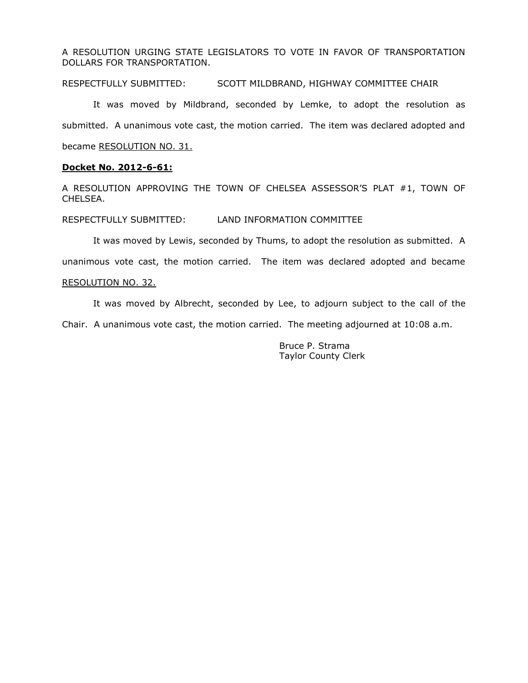A RESOLUTION URGING STATE LEGISLATORS TO VOTE IN FAVOR OF TRANSPORTATION DOLLARS FOR TRANSPORTATION.

RESPECTFULLY SUBMITTED: SCOTT MILDBRAND, HIGHWAY COMMITTEE CHAIR

It was moved by Mildbrand, seconded by Lemke, to adopt the resolution as submitted. A unanimous vote cast, the motion carried. The item was declared adopted and became RESOLUTION NO. 31.

### **Docket No. 2012-6-61:**

A RESOLUTION APPROVING THE TOWN OF CHELSEA ASSESSOR'S PLAT #1, TOWN OF CHELSEA.

RESPECTFULLY SUBMITTED: LAND INFORMATION COMMITTEE

It was moved by Lewis, seconded by Thums, to adopt the resolution as submitted. A

unanimous vote cast, the motion carried. The item was declared adopted and became

#### RESOLUTION NO. 32.

It was moved by Albrecht, seconded by Lee, to adjourn subject to the call of the

Chair. A unanimous vote cast, the motion carried. The meeting adjourned at 10:08 a.m.

Bruce P. Strama Taylor County Clerk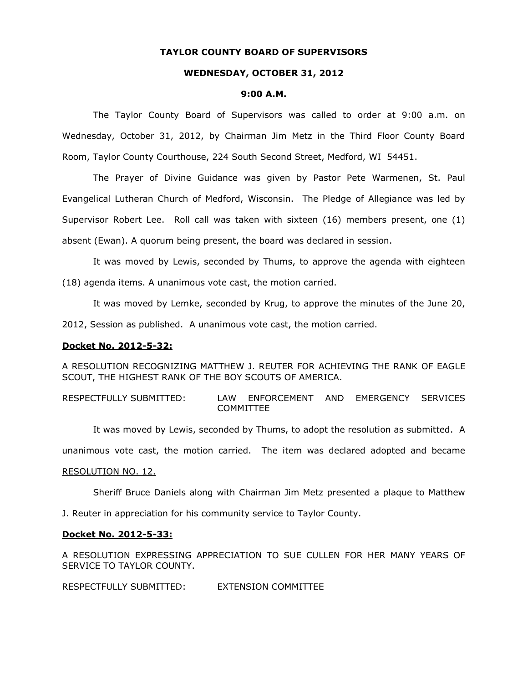## **TAYLOR COUNTY BOARD OF SUPERVISORS**

# **WEDNESDAY, OCTOBER 31, 2012**

#### **9:00 A.M.**

The Taylor County Board of Supervisors was called to order at 9:00 a.m. on Wednesday, October 31, 2012, by Chairman Jim Metz in the Third Floor County Board Room, Taylor County Courthouse, 224 South Second Street, Medford, WI 54451.

The Prayer of Divine Guidance was given by Pastor Pete Warmenen, St. Paul Evangelical Lutheran Church of Medford, Wisconsin. The Pledge of Allegiance was led by Supervisor Robert Lee. Roll call was taken with sixteen (16) members present, one (1) absent (Ewan). A quorum being present, the board was declared in session.

It was moved by Lewis, seconded by Thums, to approve the agenda with eighteen (18) agenda items. A unanimous vote cast, the motion carried.

It was moved by Lemke, seconded by Krug, to approve the minutes of the June 20,

2012, Session as published. A unanimous vote cast, the motion carried.

### **Docket No. 2012-5-32:**

A RESOLUTION RECOGNIZING MATTHEW J. REUTER FOR ACHIEVING THE RANK OF EAGLE SCOUT, THE HIGHEST RANK OF THE BOY SCOUTS OF AMERICA.

RESPECTFULLY SUBMITTED: LAW ENFORCEMENT AND EMERGENCY SERVICES COMMITTEE

It was moved by Lewis, seconded by Thums, to adopt the resolution as submitted. A

unanimous vote cast, the motion carried. The item was declared adopted and became

#### RESOLUTION NO. 12.

Sheriff Bruce Daniels along with Chairman Jim Metz presented a plaque to Matthew

J. Reuter in appreciation for his community service to Taylor County.

#### **Docket No. 2012-5-33:**

A RESOLUTION EXPRESSING APPRECIATION TO SUE CULLEN FOR HER MANY YEARS OF SERVICE TO TAYLOR COUNTY.

RESPECTFULLY SUBMITTED: EXTENSION COMMITTEE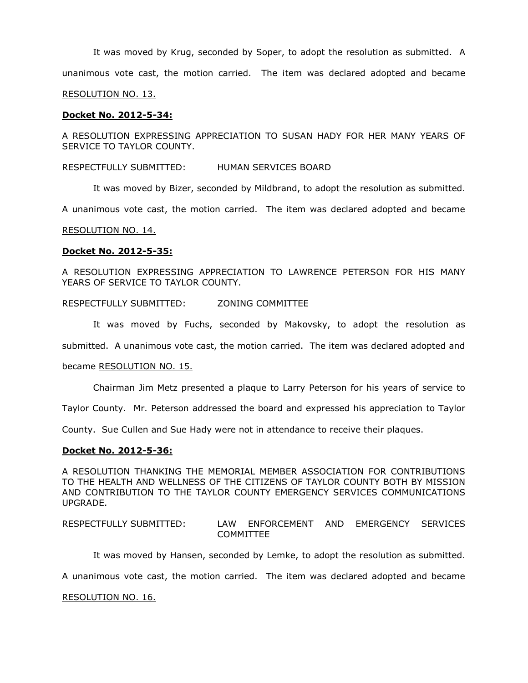It was moved by Krug, seconded by Soper, to adopt the resolution as submitted. A unanimous vote cast, the motion carried. The item was declared adopted and became RESOLUTION NO. 13.

### **Docket No. 2012-5-34:**

A RESOLUTION EXPRESSING APPRECIATION TO SUSAN HADY FOR HER MANY YEARS OF SERVICE TO TAYLOR COUNTY.

RESPECTFULLY SUBMITTED: HUMAN SERVICES BOARD

It was moved by Bizer, seconded by Mildbrand, to adopt the resolution as submitted.

A unanimous vote cast, the motion carried. The item was declared adopted and became

#### RESOLUTION NO. 14.

### **Docket No. 2012-5-35:**

A RESOLUTION EXPRESSING APPRECIATION TO LAWRENCE PETERSON FOR HIS MANY YEARS OF SERVICE TO TAYLOR COUNTY.

## RESPECTFULLY SUBMITTED: ZONING COMMITTEE

It was moved by Fuchs, seconded by Makovsky, to adopt the resolution as submitted. A unanimous vote cast, the motion carried. The item was declared adopted and

#### became RESOLUTION NO. 15.

Chairman Jim Metz presented a plaque to Larry Peterson for his years of service to

Taylor County. Mr. Peterson addressed the board and expressed his appreciation to Taylor

County. Sue Cullen and Sue Hady were not in attendance to receive their plaques.

#### **Docket No. 2012-5-36:**

A RESOLUTION THANKING THE MEMORIAL MEMBER ASSOCIATION FOR CONTRIBUTIONS TO THE HEALTH AND WELLNESS OF THE CITIZENS OF TAYLOR COUNTY BOTH BY MISSION AND CONTRIBUTION TO THE TAYLOR COUNTY EMERGENCY SERVICES COMMUNICATIONS UPGRADE.

## RESPECTFULLY SUBMITTED: LAW ENFORCEMENT AND EMERGENCY SERVICES COMMITTEE

It was moved by Hansen, seconded by Lemke, to adopt the resolution as submitted.

A unanimous vote cast, the motion carried. The item was declared adopted and became

#### RESOLUTION NO. 16.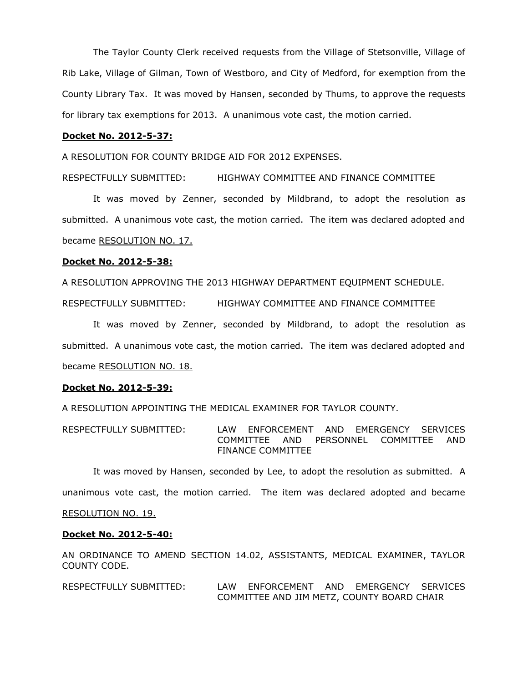The Taylor County Clerk received requests from the Village of Stetsonville, Village of Rib Lake, Village of Gilman, Town of Westboro, and City of Medford, for exemption from the County Library Tax. It was moved by Hansen, seconded by Thums, to approve the requests for library tax exemptions for 2013. A unanimous vote cast, the motion carried.

#### **Docket No. 2012-5-37:**

A RESOLUTION FOR COUNTY BRIDGE AID FOR 2012 EXPENSES.

RESPECTFULLY SUBMITTED: HIGHWAY COMMITTEE AND FINANCE COMMITTEE

It was moved by Zenner, seconded by Mildbrand, to adopt the resolution as submitted. A unanimous vote cast, the motion carried. The item was declared adopted and became RESOLUTION NO. 17.

## **Docket No. 2012-5-38:**

A RESOLUTION APPROVING THE 2013 HIGHWAY DEPARTMENT EQUIPMENT SCHEDULE.

RESPECTFULLY SUBMITTED: HIGHWAY COMMITTEE AND FINANCE COMMITTEE

It was moved by Zenner, seconded by Mildbrand, to adopt the resolution as submitted. A unanimous vote cast, the motion carried. The item was declared adopted and became RESOLUTION NO. 18.

### **Docket No. 2012-5-39:**

A RESOLUTION APPOINTING THE MEDICAL EXAMINER FOR TAYLOR COUNTY.

RESPECTFULLY SUBMITTED: LAW ENFORCEMENT AND EMERGENCY SERVICES COMMITTEE AND PERSONNEL COMMITTEE AND FINANCE COMMITTEE

It was moved by Hansen, seconded by Lee, to adopt the resolution as submitted. A

unanimous vote cast, the motion carried. The item was declared adopted and became

### RESOLUTION NO. 19.

#### **Docket No. 2012-5-40:**

AN ORDINANCE TO AMEND SECTION 14.02, ASSISTANTS, MEDICAL EXAMINER, TAYLOR COUNTY CODE.

RESPECTFULLY SUBMITTED: LAW ENFORCEMENT AND EMERGENCY SERVICES COMMITTEE AND JIM METZ, COUNTY BOARD CHAIR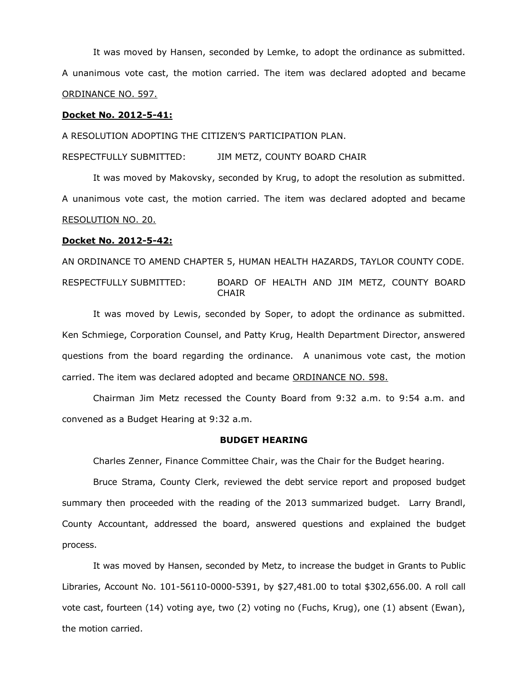It was moved by Hansen, seconded by Lemke, to adopt the ordinance as submitted. A unanimous vote cast, the motion carried. The item was declared adopted and became ORDINANCE NO. 597.

## **Docket No. 2012-5-41:**

A RESOLUTION ADOPTING THE CITIZEN'S PARTICIPATION PLAN.

RESPECTFULLY SUBMITTED: JIM METZ, COUNTY BOARD CHAIR

It was moved by Makovsky, seconded by Krug, to adopt the resolution as submitted. A unanimous vote cast, the motion carried. The item was declared adopted and became RESOLUTION NO. 20.

### **Docket No. 2012-5-42:**

AN ORDINANCE TO AMEND CHAPTER 5, HUMAN HEALTH HAZARDS, TAYLOR COUNTY CODE.

RESPECTFULLY SUBMITTED: BOARD OF HEALTH AND JIM METZ, COUNTY BOARD **CHAIR** 

It was moved by Lewis, seconded by Soper, to adopt the ordinance as submitted. Ken Schmiege, Corporation Counsel, and Patty Krug, Health Department Director, answered questions from the board regarding the ordinance. A unanimous vote cast, the motion carried. The item was declared adopted and became ORDINANCE NO. 598.

Chairman Jim Metz recessed the County Board from 9:32 a.m. to 9:54 a.m. and convened as a Budget Hearing at 9:32 a.m.

#### **BUDGET HEARING**

Charles Zenner, Finance Committee Chair, was the Chair for the Budget hearing.

Bruce Strama, County Clerk, reviewed the debt service report and proposed budget summary then proceeded with the reading of the 2013 summarized budget. Larry Brandl, County Accountant, addressed the board, answered questions and explained the budget process.

It was moved by Hansen, seconded by Metz, to increase the budget in Grants to Public Libraries, Account No. 101-56110-0000-5391, by \$27,481.00 to total \$302,656.00. A roll call vote cast, fourteen (14) voting aye, two (2) voting no (Fuchs, Krug), one (1) absent (Ewan), the motion carried.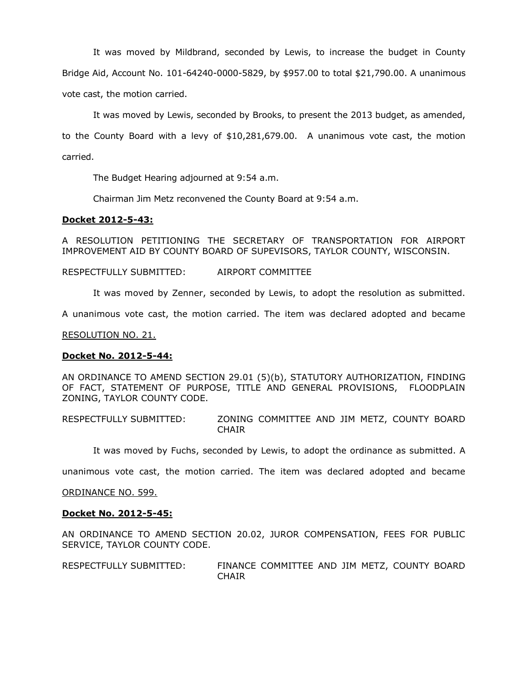It was moved by Mildbrand, seconded by Lewis, to increase the budget in County Bridge Aid, Account No. 101-64240-0000-5829, by \$957.00 to total \$21,790.00. A unanimous vote cast, the motion carried.

It was moved by Lewis, seconded by Brooks, to present the 2013 budget, as amended, to the County Board with a levy of \$10,281,679.00. A unanimous vote cast, the motion carried.

The Budget Hearing adjourned at 9:54 a.m.

Chairman Jim Metz reconvened the County Board at 9:54 a.m.

## **Docket 2012-5-43:**

A RESOLUTION PETITIONING THE SECRETARY OF TRANSPORTATION FOR AIRPORT IMPROVEMENT AID BY COUNTY BOARD OF SUPEVISORS, TAYLOR COUNTY, WISCONSIN.

RESPECTFULLY SUBMITTED: AIRPORT COMMITTEE

It was moved by Zenner, seconded by Lewis, to adopt the resolution as submitted.

A unanimous vote cast, the motion carried. The item was declared adopted and became

RESOLUTION NO. 21.

## **Docket No. 2012-5-44:**

AN ORDINANCE TO AMEND SECTION 29.01 (5)(b), STATUTORY AUTHORIZATION, FINDING OF FACT, STATEMENT OF PURPOSE, TITLE AND GENERAL PROVISIONS, FLOODPLAIN ZONING, TAYLOR COUNTY CODE.

RESPECTFULLY SUBMITTED: ZONING COMMITTEE AND JIM METZ, COUNTY BOARD **CHAIR** 

It was moved by Fuchs, seconded by Lewis, to adopt the ordinance as submitted. A

unanimous vote cast, the motion carried. The item was declared adopted and became

ORDINANCE NO. 599.

### **Docket No. 2012-5-45:**

AN ORDINANCE TO AMEND SECTION 20.02, JUROR COMPENSATION, FEES FOR PUBLIC SERVICE, TAYLOR COUNTY CODE.

RESPECTFULLY SUBMITTED: FINANCE COMMITTEE AND JIM METZ, COUNTY BOARD **CHAIR**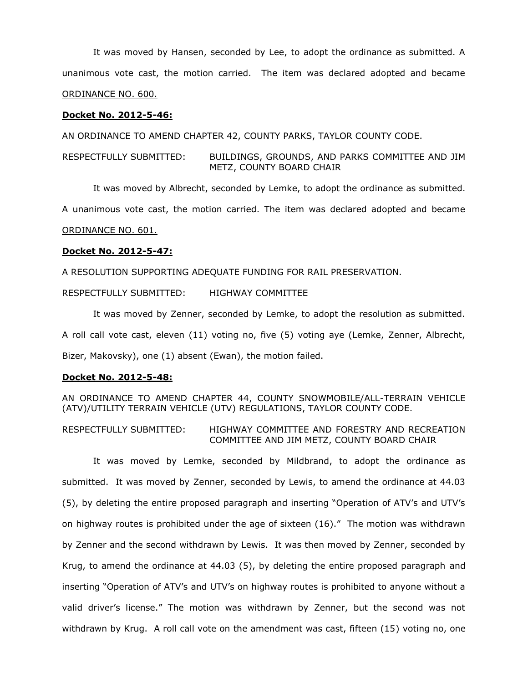It was moved by Hansen, seconded by Lee, to adopt the ordinance as submitted. A unanimous vote cast, the motion carried. The item was declared adopted and became ORDINANCE NO. 600.

### **Docket No. 2012-5-46:**

AN ORDINANCE TO AMEND CHAPTER 42, COUNTY PARKS, TAYLOR COUNTY CODE.

RESPECTFULLY SUBMITTED: BUILDINGS, GROUNDS, AND PARKS COMMITTEE AND JIM METZ, COUNTY BOARD CHAIR

It was moved by Albrecht, seconded by Lemke, to adopt the ordinance as submitted.

A unanimous vote cast, the motion carried. The item was declared adopted and became

ORDINANCE NO. 601.

## **Docket No. 2012-5-47:**

A RESOLUTION SUPPORTING ADEQUATE FUNDING FOR RAIL PRESERVATION.

RESPECTFULLY SUBMITTED: HIGHWAY COMMITTEE

It was moved by Zenner, seconded by Lemke, to adopt the resolution as submitted. A roll call vote cast, eleven (11) voting no, five (5) voting aye (Lemke, Zenner, Albrecht, Bizer, Makovsky), one (1) absent (Ewan), the motion failed.

### **Docket No. 2012-5-48:**

AN ORDINANCE TO AMEND CHAPTER 44, COUNTY SNOWMOBILE/ALL-TERRAIN VEHICLE (ATV)/UTILITY TERRAIN VEHICLE (UTV) REGULATIONS, TAYLOR COUNTY CODE.

RESPECTFULLY SUBMITTED: HIGHWAY COMMITTEE AND FORESTRY AND RECREATION COMMITTEE AND JIM METZ, COUNTY BOARD CHAIR

It was moved by Lemke, seconded by Mildbrand, to adopt the ordinance as submitted. It was moved by Zenner, seconded by Lewis, to amend the ordinance at 44.03 (5), by deleting the entire proposed paragraph and inserting "Operation of ATV's and UTV's on highway routes is prohibited under the age of sixteen (16)." The motion was withdrawn by Zenner and the second withdrawn by Lewis. It was then moved by Zenner, seconded by Krug, to amend the ordinance at 44.03 (5), by deleting the entire proposed paragraph and inserting "Operation of ATV's and UTV's on highway routes is prohibited to anyone without a valid driver's license." The motion was withdrawn by Zenner, but the second was not withdrawn by Krug. A roll call vote on the amendment was cast, fifteen (15) voting no, one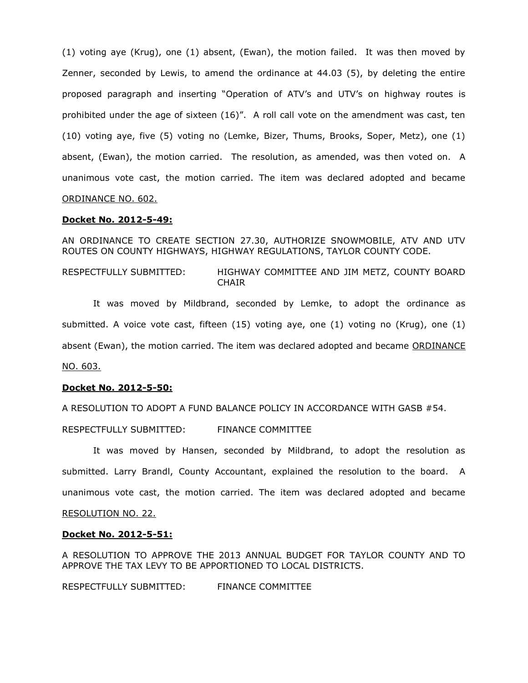(1) voting aye (Krug), one (1) absent, (Ewan), the motion failed. It was then moved by Zenner, seconded by Lewis, to amend the ordinance at 44.03 (5), by deleting the entire proposed paragraph and inserting "Operation of ATV's and UTV's on highway routes is prohibited under the age of sixteen (16)". A roll call vote on the amendment was cast, ten (10) voting aye, five (5) voting no (Lemke, Bizer, Thums, Brooks, Soper, Metz), one (1) absent, (Ewan), the motion carried. The resolution, as amended, was then voted on. A unanimous vote cast, the motion carried. The item was declared adopted and became ORDINANCE NO. 602.

### **Docket No. 2012-5-49:**

AN ORDINANCE TO CREATE SECTION 27.30, AUTHORIZE SNOWMOBILE, ATV AND UTV ROUTES ON COUNTY HIGHWAYS, HIGHWAY REGULATIONS, TAYLOR COUNTY CODE.

RESPECTFULLY SUBMITTED: HIGHWAY COMMITTEE AND JIM METZ, COUNTY BOARD CHAIR

It was moved by Mildbrand, seconded by Lemke, to adopt the ordinance as submitted. A voice vote cast, fifteen (15) voting aye, one (1) voting no (Krug), one (1) absent (Ewan), the motion carried. The item was declared adopted and became ORDINANCE NO. 603.

### **Docket No. 2012-5-50:**

A RESOLUTION TO ADOPT A FUND BALANCE POLICY IN ACCORDANCE WITH GASB #54.

RESPECTFULLY SUBMITTED: FINANCE COMMITTEE

It was moved by Hansen, seconded by Mildbrand, to adopt the resolution as submitted. Larry Brandl, County Accountant, explained the resolution to the board. A unanimous vote cast, the motion carried. The item was declared adopted and became

## RESOLUTION NO. 22.

#### **Docket No. 2012-5-51:**

A RESOLUTION TO APPROVE THE 2013 ANNUAL BUDGET FOR TAYLOR COUNTY AND TO APPROVE THE TAX LEVY TO BE APPORTIONED TO LOCAL DISTRICTS.

RESPECTFULLY SUBMITTED: FINANCE COMMITTEE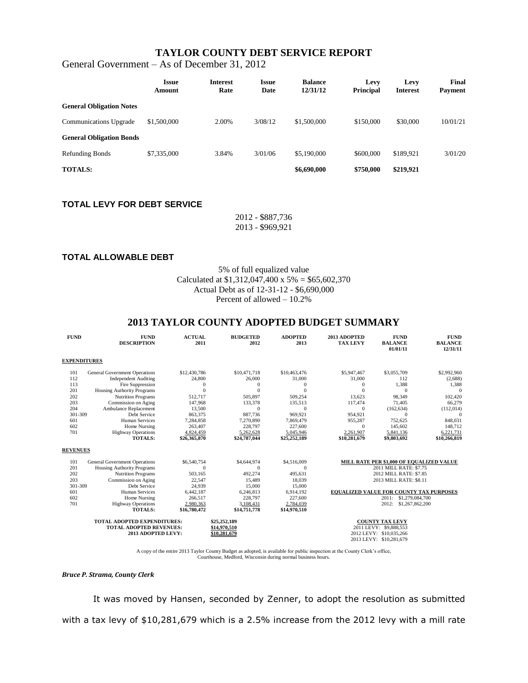# **TAYLOR COUNTY DEBT SERVICE REPORT**

General Government – As of December 31, 2012

|                                 | <b>Issue</b><br>Amount | <b>Interest</b><br>Rate | <b>Issue</b><br>Date | <b>Balance</b><br>12/31/12 | Levy<br><b>Principal</b> | Levy<br><b>Interest</b> | Final<br>Payment |
|---------------------------------|------------------------|-------------------------|----------------------|----------------------------|--------------------------|-------------------------|------------------|
| <b>General Obligation Notes</b> |                        |                         |                      |                            |                          |                         |                  |
| <b>Communications Upgrade</b>   | \$1,500,000            | 2.00%                   | 3/08/12              | \$1,500,000                | \$150,000                | \$30,000                | 10/01/21         |
| <b>General Obligation Bonds</b> |                        |                         |                      |                            |                          |                         |                  |
| <b>Refunding Bonds</b>          | \$7,335,000            | 3.84%                   | 3/01/06              | \$5,190,000                | \$600,000                | \$189.921               | 3/01/20          |
| <b>TOTALS:</b>                  |                        |                         |                      | \$6,690,000                | \$750,000                | \$219,921               |                  |

# **TOTAL LEVY FOR DEBT SERVICE**

2012 - \$887,736 2013 - \$969,921

### **TOTAL ALLOWABLE DEBT**

5% of full equalized value Calculated at  $$1,312,047,400 \times 5\% = $65,602,370$ Actual Debt as of 12-31-12 - \$6,690,000 Percent of allowed – 10.2%

## **2013 TAYLOR COUNTY ADOPTED BUDGET SUMMARY**

| <b>FUND</b>                                                                                | <b>FUND</b><br><b>DESCRIPTION</b>                                                                                                                                                                                                                                                               | <b>ACTUAL</b><br>2011                                                                                                              | <b>BUDGETED</b><br>2012                                                                                                          | <b>ADOPTED</b><br>2013                                                                                                                     | 2013 ADOPTED<br><b>TAX LEVY</b>                                                                                                           | <b>FUND</b><br><b>BALANCE</b><br>01/01/11                                                                                                                                                                                        | <b>FUND</b><br><b>BALANCE</b><br>12/31/11                                                                                         |  |
|--------------------------------------------------------------------------------------------|-------------------------------------------------------------------------------------------------------------------------------------------------------------------------------------------------------------------------------------------------------------------------------------------------|------------------------------------------------------------------------------------------------------------------------------------|----------------------------------------------------------------------------------------------------------------------------------|--------------------------------------------------------------------------------------------------------------------------------------------|-------------------------------------------------------------------------------------------------------------------------------------------|----------------------------------------------------------------------------------------------------------------------------------------------------------------------------------------------------------------------------------|-----------------------------------------------------------------------------------------------------------------------------------|--|
| <b>EXPENDITURES</b>                                                                        |                                                                                                                                                                                                                                                                                                 |                                                                                                                                    |                                                                                                                                  |                                                                                                                                            |                                                                                                                                           |                                                                                                                                                                                                                                  |                                                                                                                                   |  |
| 101<br>112<br>113<br>201<br>202<br>203<br>204<br>301-309<br>601<br>602<br>701              | <b>General Government Operations</b><br><b>Independent Auditing</b><br>Fire Suppression<br><b>Housing Authority Programs</b><br><b>Nutrition Programs</b><br>Commission on Aging<br>Ambulance Replacement<br>Debt Service<br><b>Human Services</b><br>Home Nursing<br><b>Highway Operations</b> | \$12,430,786<br>24,800<br>$\mathbf{0}$<br>$\Omega$<br>512,717<br>147,968<br>13,500<br>863,375<br>7,284,858<br>263,407<br>4,824,459 | \$10,471,718<br>26,000<br>$\theta$<br>$\theta$<br>505,897<br>133,378<br>$\theta$<br>887,736<br>7,270,890<br>228,797<br>5.262.628 | \$10,463,476<br>31,000<br>$\mathbf{0}$<br>$\theta$<br>509,254<br>135,513<br>$\overline{0}$<br>969,921<br>7.869.479<br>227,600<br>5.045.946 | \$5,947,467<br>31,000<br>$\mathbf{0}$<br>$\Omega$<br>13,623<br>117,474<br>$\mathbf{0}$<br>954,921<br>955,287<br>$\mathbf{0}$<br>2.261.907 | \$3,055,709<br>112<br>1,388<br>$\Omega$<br>98,349<br>71,405<br>(162, 634)<br>$\Omega$<br>752,625<br>145,602<br>5.841.136                                                                                                         | \$2,992,960<br>(2,688)<br>1,388<br>$\Omega$<br>102,420<br>66,279<br>(112, 014)<br>$\mathbf{0}$<br>848,031<br>148,712<br>6.221.731 |  |
|                                                                                            | <b>TOTALS:</b>                                                                                                                                                                                                                                                                                  | \$26,365,870                                                                                                                       | \$24,787,044                                                                                                                     | \$25,252,189                                                                                                                               | \$10,281,679                                                                                                                              | \$9,803,692                                                                                                                                                                                                                      | \$10,266,819                                                                                                                      |  |
| <b>REVENUES</b>                                                                            |                                                                                                                                                                                                                                                                                                 |                                                                                                                                    |                                                                                                                                  |                                                                                                                                            |                                                                                                                                           |                                                                                                                                                                                                                                  |                                                                                                                                   |  |
| 101<br>201<br>202<br>203<br>301-309<br>601<br>602<br>701                                   | <b>General Government Operations</b><br><b>Housing Authority Programs</b><br><b>Nutrition Programs</b><br>Commission on Aging<br>Debt Service<br><b>Human Services</b><br>Home Nursing<br><b>Highway Operations</b><br><b>TOTALS:</b>                                                           | \$6,540,754<br>$\Omega$<br>503,165<br>22,547<br>24,939<br>6,442,187<br>266,517<br>2,980,363<br>\$16,780,472                        | \$4,644,974<br>$\Omega$<br>492,274<br>15,489<br>15,000<br>6,246,813<br>228,797<br>3,108,431<br>\$14,751,778                      | \$4,516,009<br>$\theta$<br>495.631<br>18,039<br>15,000<br>6,914,192<br>227,600<br>2,784,039<br>\$14,970,510                                |                                                                                                                                           | MILL RATE PER \$1,000 OF EQUALIZED VALUE<br>2011 MILL RATE: \$7.75<br>2012 MILL RATE: \$7.85<br>2013 MILL RATE: \$8.11<br><b>EQUALIZED VALUE FOR COUNTY TAX PURPOSES</b><br>\$1,279,084,700<br>2011:<br>2012:<br>\$1,267,862,200 |                                                                                                                                   |  |
| <b>TOTAL ADOPTED EXPENDITURES:</b><br><b>TOTAL ADOPTED REVENUES:</b><br>2013 ADOPTED LEVY: |                                                                                                                                                                                                                                                                                                 |                                                                                                                                    | \$25,252,189<br>\$14,970,510<br>\$10,281,679                                                                                     | <b>COUNTY TAX LEVY</b><br>2011 LEVY: \$9,888,553<br>2012 LEVY: \$10,035,266<br>2013 LEVY: \$10,281,679                                     |                                                                                                                                           |                                                                                                                                                                                                                                  |                                                                                                                                   |  |

A copy of the entire 2013 Taylor County Budget as adopted, is available for public inspection at the County Clerk's office, Courthouse, Medford, Wisconsin during normal business hours.

#### *Bruce P. Strama, County Clerk*

It was moved by Hansen, seconded by Zenner, to adopt the resolution as submitted with a tax levy of \$10,281,679 which is a 2.5% increase from the 2012 levy with a mill rate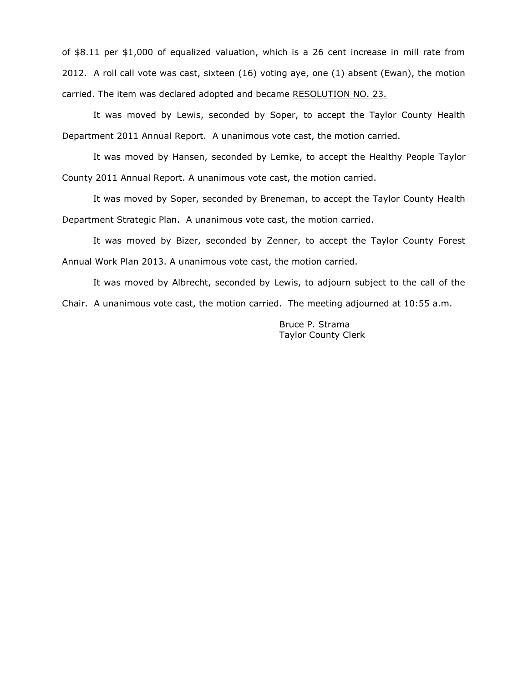of \$8.11 per \$1,000 of equalized valuation, which is a 26 cent increase in mill rate from 2012. A roll call vote was cast, sixteen (16) voting aye, one (1) absent (Ewan), the motion carried. The item was declared adopted and became RESOLUTION NO. 23.

It was moved by Lewis, seconded by Soper, to accept the Taylor County Health Department 2011 Annual Report. A unanimous vote cast, the motion carried.

It was moved by Hansen, seconded by Lemke, to accept the Healthy People Taylor County 2011 Annual Report. A unanimous vote cast, the motion carried.

It was moved by Soper, seconded by Breneman, to accept the Taylor County Health Department Strategic Plan. A unanimous vote cast, the motion carried.

It was moved by Bizer, seconded by Zenner, to accept the Taylor County Forest Annual Work Plan 2013. A unanimous vote cast, the motion carried.

It was moved by Albrecht, seconded by Lewis, to adjourn subject to the call of the Chair. A unanimous vote cast, the motion carried. The meeting adjourned at 10:55 a.m.

> Bruce P. Strama Taylor County Clerk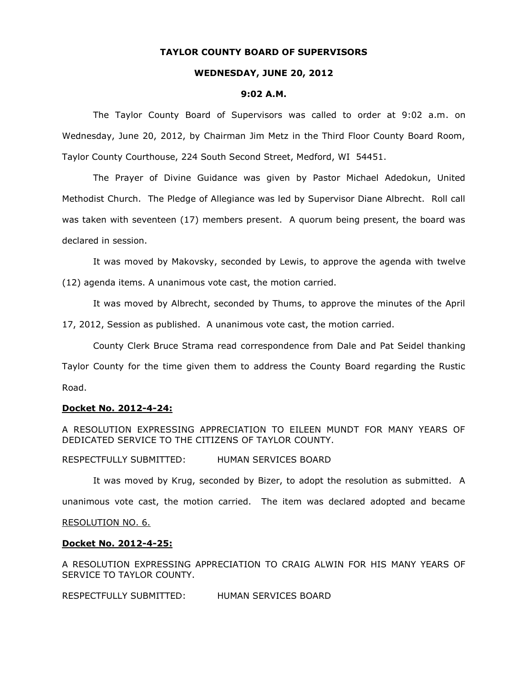## **TAYLOR COUNTY BOARD OF SUPERVISORS**

#### **WEDNESDAY, JUNE 20, 2012**

#### **9:02 A.M.**

The Taylor County Board of Supervisors was called to order at 9:02 a.m. on Wednesday, June 20, 2012, by Chairman Jim Metz in the Third Floor County Board Room, Taylor County Courthouse, 224 South Second Street, Medford, WI 54451.

The Prayer of Divine Guidance was given by Pastor Michael Adedokun, United Methodist Church. The Pledge of Allegiance was led by Supervisor Diane Albrecht. Roll call was taken with seventeen (17) members present. A quorum being present, the board was declared in session.

It was moved by Makovsky, seconded by Lewis, to approve the agenda with twelve

(12) agenda items. A unanimous vote cast, the motion carried.

It was moved by Albrecht, seconded by Thums, to approve the minutes of the April

17, 2012, Session as published. A unanimous vote cast, the motion carried.

County Clerk Bruce Strama read correspondence from Dale and Pat Seidel thanking Taylor County for the time given them to address the County Board regarding the Rustic Road.

#### **Docket No. 2012-4-24:**

A RESOLUTION EXPRESSING APPRECIATION TO EILEEN MUNDT FOR MANY YEARS OF DEDICATED SERVICE TO THE CITIZENS OF TAYLOR COUNTY.

RESPECTFULLY SUBMITTED: HUMAN SERVICES BOARD

It was moved by Krug, seconded by Bizer, to adopt the resolution as submitted. A unanimous vote cast, the motion carried. The item was declared adopted and became

# RESOLUTION NO. 6.

#### **Docket No. 2012-4-25:**

A RESOLUTION EXPRESSING APPRECIATION TO CRAIG ALWIN FOR HIS MANY YEARS OF SERVICE TO TAYLOR COUNTY.

RESPECTFULLY SUBMITTED: HUMAN SERVICES BOARD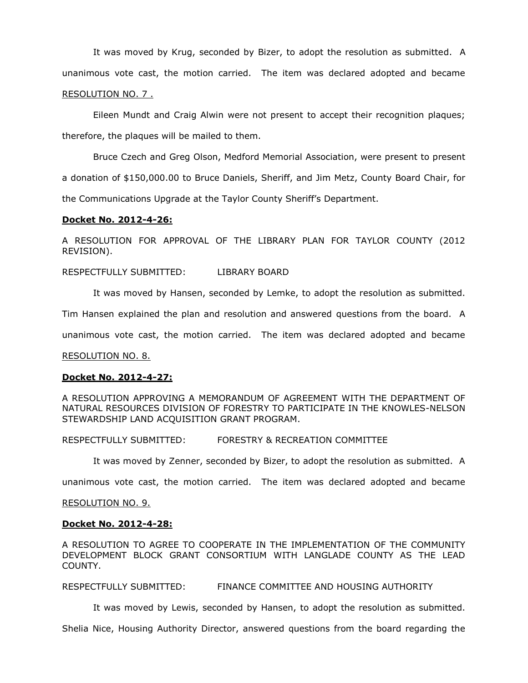It was moved by Krug, seconded by Bizer, to adopt the resolution as submitted. A unanimous vote cast, the motion carried. The item was declared adopted and became

### RESOLUTION NO. 7 .

Eileen Mundt and Craig Alwin were not present to accept their recognition plaques; therefore, the plaques will be mailed to them.

Bruce Czech and Greg Olson, Medford Memorial Association, were present to present a donation of \$150,000.00 to Bruce Daniels, Sheriff, and Jim Metz, County Board Chair, for the Communications Upgrade at the Taylor County Sheriff's Department.

### **Docket No. 2012-4-26:**

A RESOLUTION FOR APPROVAL OF THE LIBRARY PLAN FOR TAYLOR COUNTY (2012 REVISION).

RESPECTFULLY SUBMITTED: LIBRARY BOARD

It was moved by Hansen, seconded by Lemke, to adopt the resolution as submitted.

Tim Hansen explained the plan and resolution and answered questions from the board. A

unanimous vote cast, the motion carried. The item was declared adopted and became

RESOLUTION NO. 8.

## **Docket No. 2012-4-27:**

A RESOLUTION APPROVING A MEMORANDUM OF AGREEMENT WITH THE DEPARTMENT OF NATURAL RESOURCES DIVISION OF FORESTRY TO PARTICIPATE IN THE KNOWLES-NELSON STEWARDSHIP LAND ACQUISITION GRANT PROGRAM.

RESPECTFULLY SUBMITTED: FORESTRY & RECREATION COMMITTEE

It was moved by Zenner, seconded by Bizer, to adopt the resolution as submitted. A

unanimous vote cast, the motion carried. The item was declared adopted and became

### RESOLUTION NO. 9.

### **Docket No. 2012-4-28:**

A RESOLUTION TO AGREE TO COOPERATE IN THE IMPLEMENTATION OF THE COMMUNITY DEVELOPMENT BLOCK GRANT CONSORTIUM WITH LANGLADE COUNTY AS THE LEAD COUNTY.

RESPECTFULLY SUBMITTED: FINANCE COMMITTEE AND HOUSING AUTHORITY

It was moved by Lewis, seconded by Hansen, to adopt the resolution as submitted.

Shelia Nice, Housing Authority Director, answered questions from the board regarding the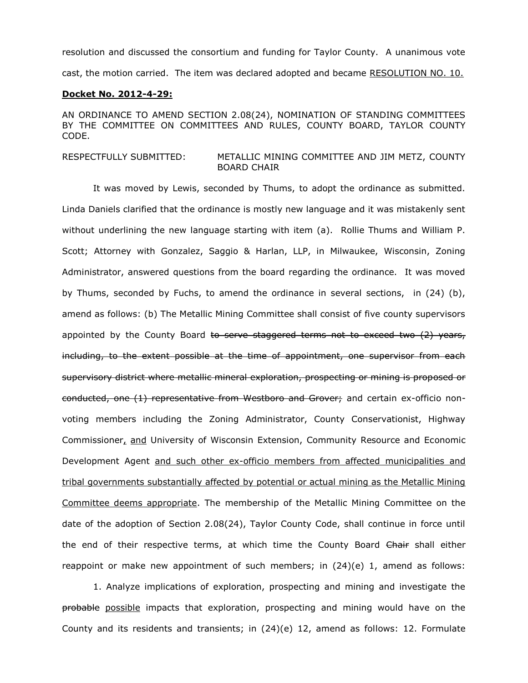resolution and discussed the consortium and funding for Taylor County. A unanimous vote cast, the motion carried. The item was declared adopted and became RESOLUTION NO. 10.

### **Docket No. 2012-4-29:**

AN ORDINANCE TO AMEND SECTION 2.08(24), NOMINATION OF STANDING COMMITTEES BY THE COMMITTEE ON COMMITTEES AND RULES, COUNTY BOARD, TAYLOR COUNTY CODE.

## RESPECTFULLY SUBMITTED: METALLIC MINING COMMITTEE AND JIM METZ, COUNTY BOARD CHAIR

It was moved by Lewis, seconded by Thums, to adopt the ordinance as submitted. Linda Daniels clarified that the ordinance is mostly new language and it was mistakenly sent without underlining the new language starting with item (a). Rollie Thums and William P. Scott; Attorney with Gonzalez, Saggio & Harlan, LLP, in Milwaukee, Wisconsin, Zoning Administrator, answered questions from the board regarding the ordinance. It was moved by Thums, seconded by Fuchs, to amend the ordinance in several sections, in (24) (b), amend as follows: (b) The Metallic Mining Committee shall consist of five county supervisors appointed by the County Board to serve staggered terms not to exceed two  $(2)$  years, including, to the extent possible at the time of appointment, one supervisor from each supervisory district where metallic mineral exploration, prospecting or mining is proposed or conducted, one (1) representative from Westboro and Grover; and certain ex-officio nonvoting members including the Zoning Administrator, County Conservationist, Highway Commissioner, and University of Wisconsin Extension, Community Resource and Economic Development Agent and such other ex-officio members from affected municipalities and tribal governments substantially affected by potential or actual mining as the Metallic Mining Committee deems appropriate. The membership of the Metallic Mining Committee on the date of the adoption of Section 2.08(24), Taylor County Code, shall continue in force until the end of their respective terms, at which time the County Board Chair shall either reappoint or make new appointment of such members; in  $(24)(e)$  1, amend as follows:

1. Analyze implications of exploration, prospecting and mining and investigate the probable possible impacts that exploration, prospecting and mining would have on the County and its residents and transients; in (24)(e) 12, amend as follows: 12. Formulate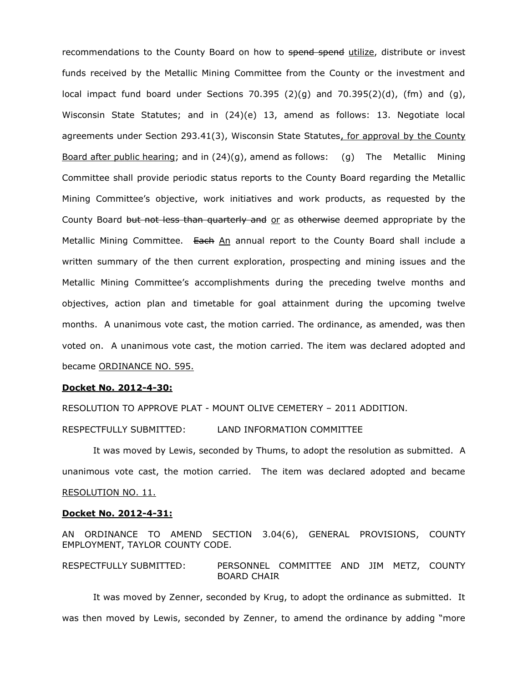recommendations to the County Board on how to spend spend utilize, distribute or invest funds received by the Metallic Mining Committee from the County or the investment and local impact fund board under Sections 70.395  $(2)(q)$  and 70.395 $(2)(d)$ , (fm) and  $(q)$ , Wisconsin State Statutes; and in (24)(e) 13, amend as follows: 13. Negotiate local agreements under Section 293.41(3), Wisconsin State Statutes, for approval by the County Board after public hearing; and in  $(24)(q)$ , amend as follows:  $(q)$  The Metallic Mining Committee shall provide periodic status reports to the County Board regarding the Metallic Mining Committee's objective, work initiatives and work products, as requested by the County Board but not less than quarterly and or as otherwise deemed appropriate by the Metallic Mining Committee. Each An annual report to the County Board shall include a written summary of the then current exploration, prospecting and mining issues and the Metallic Mining Committee's accomplishments during the preceding twelve months and objectives, action plan and timetable for goal attainment during the upcoming twelve months. A unanimous vote cast, the motion carried. The ordinance, as amended, was then voted on. A unanimous vote cast, the motion carried. The item was declared adopted and became ORDINANCE NO. 595.

### **Docket No. 2012-4-30:**

RESOLUTION TO APPROVE PLAT - MOUNT OLIVE CEMETERY – 2011 ADDITION.

RESPECTFULLY SUBMITTED: LAND INFORMATION COMMITTEE

It was moved by Lewis, seconded by Thums, to adopt the resolution as submitted. A unanimous vote cast, the motion carried. The item was declared adopted and became RESOLUTION NO. 11.

#### **Docket No. 2012-4-31:**

AN ORDINANCE TO AMEND SECTION 3.04(6), GENERAL PROVISIONS, COUNTY EMPLOYMENT, TAYLOR COUNTY CODE.

RESPECTFULLY SUBMITTED: PERSONNEL COMMITTEE AND JIM METZ, COUNTY BOARD CHAIR

It was moved by Zenner, seconded by Krug, to adopt the ordinance as submitted. It was then moved by Lewis, seconded by Zenner, to amend the ordinance by adding "more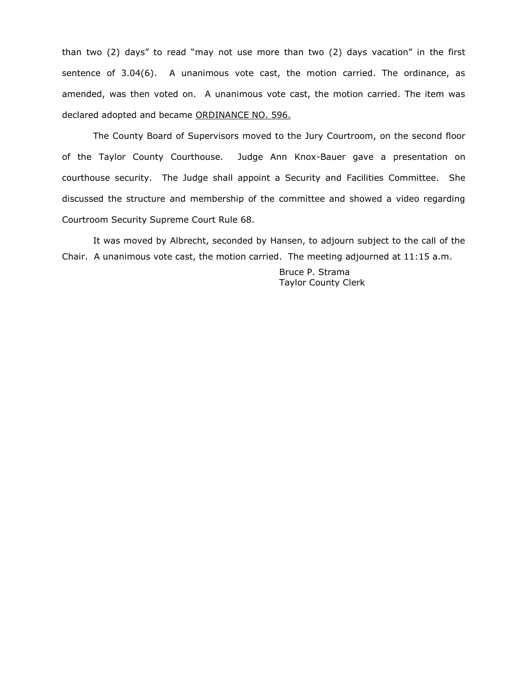than two (2) days" to read "may not use more than two (2) days vacation" in the first sentence of 3.04(6). A unanimous vote cast, the motion carried. The ordinance, as amended, was then voted on. A unanimous vote cast, the motion carried. The item was declared adopted and became ORDINANCE NO. 596.

The County Board of Supervisors moved to the Jury Courtroom, on the second floor of the Taylor County Courthouse. Judge Ann Knox-Bauer gave a presentation on courthouse security. The Judge shall appoint a Security and Facilities Committee. She discussed the structure and membership of the committee and showed a video regarding Courtroom Security Supreme Court Rule 68.

It was moved by Albrecht, seconded by Hansen, to adjourn subject to the call of the Chair. A unanimous vote cast, the motion carried. The meeting adjourned at 11:15 a.m.

> Bruce P. Strama Taylor County Clerk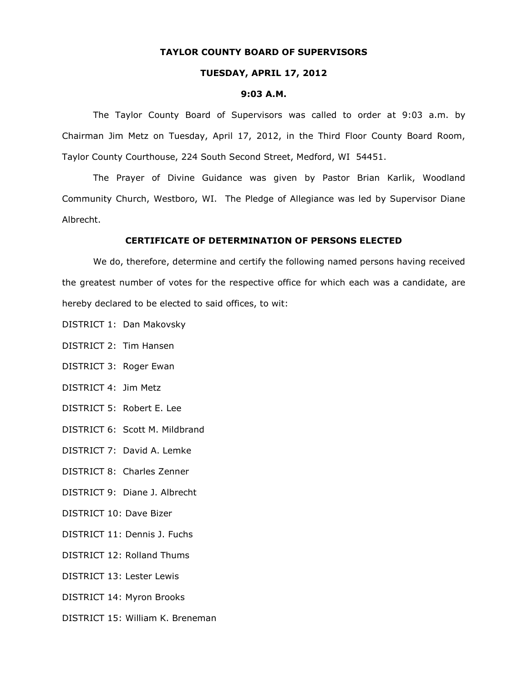## **TAYLOR COUNTY BOARD OF SUPERVISORS**

### **TUESDAY, APRIL 17, 2012**

#### **9:03 A.M.**

The Taylor County Board of Supervisors was called to order at 9:03 a.m. by Chairman Jim Metz on Tuesday, April 17, 2012, in the Third Floor County Board Room, Taylor County Courthouse, 224 South Second Street, Medford, WI 54451.

The Prayer of Divine Guidance was given by Pastor Brian Karlik, Woodland Community Church, Westboro, WI. The Pledge of Allegiance was led by Supervisor Diane Albrecht.

### **CERTIFICATE OF DETERMINATION OF PERSONS ELECTED**

We do, therefore, determine and certify the following named persons having received the greatest number of votes for the respective office for which each was a candidate, are hereby declared to be elected to said offices, to wit:

- DISTRICT 1: Dan Makovsky
- DISTRICT 2: Tim Hansen
- DISTRICT 3: Roger Ewan
- DISTRICT 4: Jim Metz
- DISTRICT 5: Robert E. Lee
- DISTRICT 6: Scott M. Mildbrand
- DISTRICT 7: David A. Lemke
- DISTRICT 8: Charles Zenner
- DISTRICT 9: Diane J. Albrecht
- DISTRICT 10: Dave Bizer
- DISTRICT 11: Dennis J. Fuchs
- DISTRICT 12: Rolland Thums
- DISTRICT 13: Lester Lewis
- DISTRICT 14: Myron Brooks
- DISTRICT 15: William K. Breneman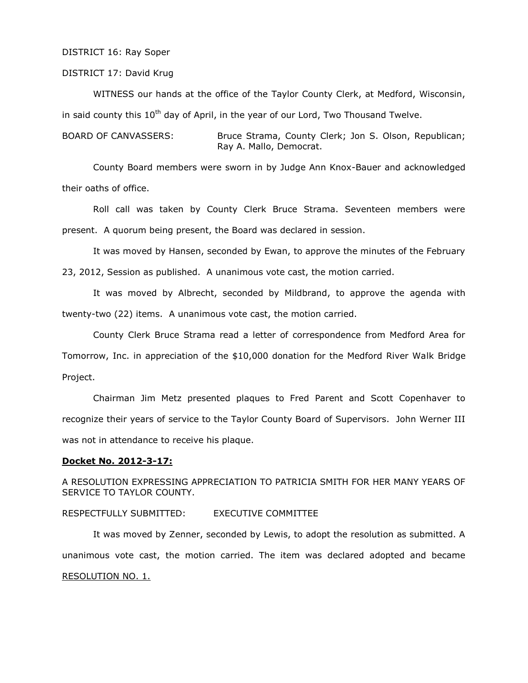### DISTRICT 16: Ray Soper

### DISTRICT 17: David Krug

WITNESS our hands at the office of the Taylor County Clerk, at Medford, Wisconsin, in said county this  $10^{th}$  day of April, in the year of our Lord, Two Thousand Twelve.

BOARD OF CANVASSERS: Bruce Strama, County Clerk; Jon S. Olson, Republican; Ray A. Mallo, Democrat.

County Board members were sworn in by Judge Ann Knox-Bauer and acknowledged their oaths of office.

Roll call was taken by County Clerk Bruce Strama. Seventeen members were present. A quorum being present, the Board was declared in session.

It was moved by Hansen, seconded by Ewan, to approve the minutes of the February

23, 2012, Session as published. A unanimous vote cast, the motion carried.

It was moved by Albrecht, seconded by Mildbrand, to approve the agenda with twenty-two (22) items. A unanimous vote cast, the motion carried.

County Clerk Bruce Strama read a letter of correspondence from Medford Area for Tomorrow, Inc. in appreciation of the \$10,000 donation for the Medford River Walk Bridge Project.

Chairman Jim Metz presented plaques to Fred Parent and Scott Copenhaver to recognize their years of service to the Taylor County Board of Supervisors. John Werner III was not in attendance to receive his plaque.

## **Docket No. 2012-3-17:**

A RESOLUTION EXPRESSING APPRECIATION TO PATRICIA SMITH FOR HER MANY YEARS OF SERVICE TO TAYLOR COUNTY.

## RESPECTFULLY SUBMITTED: EXECUTIVE COMMITTEE

It was moved by Zenner, seconded by Lewis, to adopt the resolution as submitted. A unanimous vote cast, the motion carried. The item was declared adopted and became RESOLUTION NO. 1.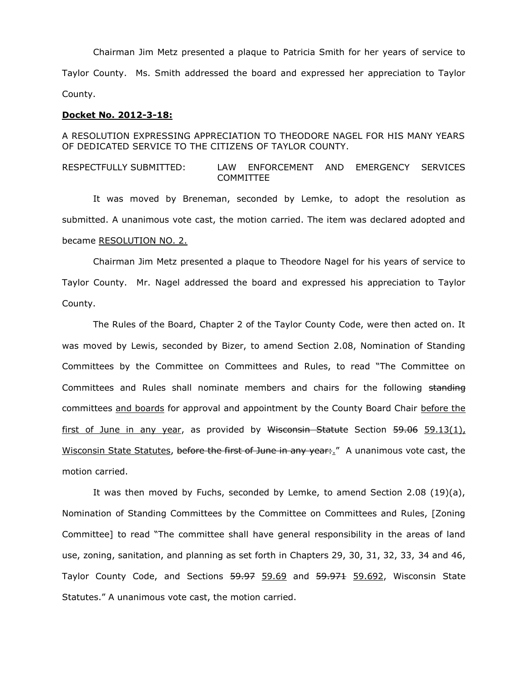Chairman Jim Metz presented a plaque to Patricia Smith for her years of service to Taylor County. Ms. Smith addressed the board and expressed her appreciation to Taylor County.

## **Docket No. 2012-3-18:**

## A RESOLUTION EXPRESSING APPRECIATION TO THEODORE NAGEL FOR HIS MANY YEARS OF DEDICATED SERVICE TO THE CITIZENS OF TAYLOR COUNTY.

## RESPECTFULLY SUBMITTED: LAW ENFORCEMENT AND EMERGENCY SERVICES COMMITTEE

It was moved by Breneman, seconded by Lemke, to adopt the resolution as submitted. A unanimous vote cast, the motion carried. The item was declared adopted and became RESOLUTION NO. 2.

Chairman Jim Metz presented a plaque to Theodore Nagel for his years of service to Taylor County. Mr. Nagel addressed the board and expressed his appreciation to Taylor County.

The Rules of the Board, Chapter 2 of the Taylor County Code, were then acted on. It was moved by Lewis, seconded by Bizer, to amend Section 2.08, Nomination of Standing Committees by the Committee on Committees and Rules, to read "The Committee on Committees and Rules shall nominate members and chairs for the following standing committees and boards for approval and appointment by the County Board Chair before the first of June in any year, as provided by Wisconsin Statute Section  $59.06$  59.13(1), Wisconsin State Statutes, before the first of June in any year:." A unanimous vote cast, the motion carried.

It was then moved by Fuchs, seconded by Lemke, to amend Section 2.08 (19)(a), Nomination of Standing Committees by the Committee on Committees and Rules, [Zoning Committee] to read "The committee shall have general responsibility in the areas of land use, zoning, sanitation, and planning as set forth in Chapters 29, 30, 31, 32, 33, 34 and 46, Taylor County Code, and Sections 59.97 59.69 and 59.971 59.692, Wisconsin State Statutes." A unanimous vote cast, the motion carried.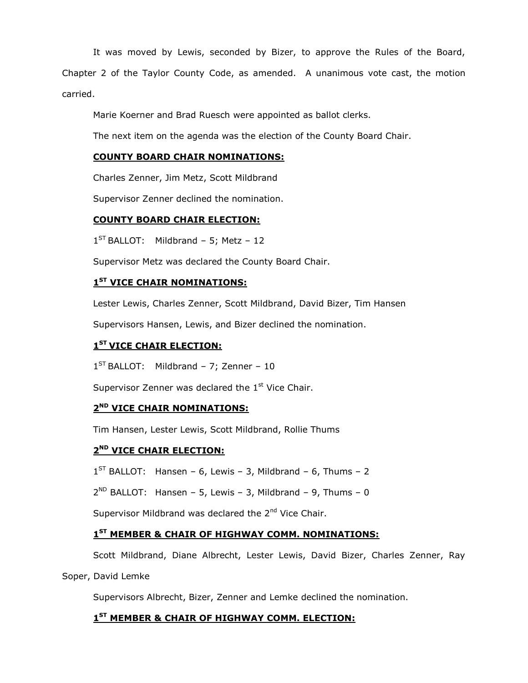It was moved by Lewis, seconded by Bizer, to approve the Rules of the Board,

Chapter 2 of the Taylor County Code, as amended. A unanimous vote cast, the motion carried.

Marie Koerner and Brad Ruesch were appointed as ballot clerks.

The next item on the agenda was the election of the County Board Chair.

## **COUNTY BOARD CHAIR NOMINATIONS:**

Charles Zenner, Jim Metz, Scott Mildbrand

Supervisor Zenner declined the nomination.

## **COUNTY BOARD CHAIR ELECTION:**

 $1^{ST}$  BALLOT: Mildbrand - 5; Metz - 12

Supervisor Metz was declared the County Board Chair.

## **1 ST VICE CHAIR NOMINATIONS:**

Lester Lewis, Charles Zenner, Scott Mildbrand, David Bizer, Tim Hansen

Supervisors Hansen, Lewis, and Bizer declined the nomination.

## **1 ST VICE CHAIR ELECTION:**

1<sup>ST</sup> BALLOT: Mildbrand - 7; Zenner - 10

Supervisor Zenner was declared the  $1<sup>st</sup>$  Vice Chair.

## **2 ND VICE CHAIR NOMINATIONS:**

Tim Hansen, Lester Lewis, Scott Mildbrand, Rollie Thums

## **2 ND VICE CHAIR ELECTION:**

 $1^{ST}$  BALLOT: Hansen – 6, Lewis – 3, Mildbrand – 6, Thums – 2

 $2^{ND}$  BALLOT: Hansen - 5, Lewis - 3, Mildbrand - 9, Thums - 0

Supervisor Mildbrand was declared the 2<sup>nd</sup> Vice Chair.

## **1 ST MEMBER & CHAIR OF HIGHWAY COMM. NOMINATIONS:**

Scott Mildbrand, Diane Albrecht, Lester Lewis, David Bizer, Charles Zenner, Ray

## Soper, David Lemke

Supervisors Albrecht, Bizer, Zenner and Lemke declined the nomination.

# **1 ST MEMBER & CHAIR OF HIGHWAY COMM. ELECTION:**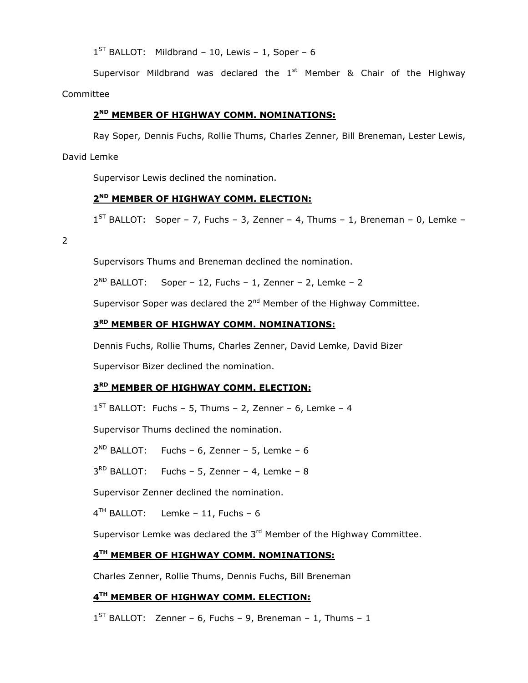$1<sup>ST</sup>$  BALLOT: Mildbrand – 10, Lewis – 1, Soper – 6

Supervisor Mildbrand was declared the  $1<sup>st</sup>$  Member & Chair of the Highway Committee

# **2 ND MEMBER OF HIGHWAY COMM. NOMINATIONS:**

Ray Soper, Dennis Fuchs, Rollie Thums, Charles Zenner, Bill Breneman, Lester Lewis,

David Lemke

Supervisor Lewis declined the nomination.

# **2 ND MEMBER OF HIGHWAY COMM. ELECTION:**

 $1^{ST}$  BALLOT: Soper – 7, Fuchs – 3, Zenner – 4, Thums – 1, Breneman – 0, Lemke –

2

Supervisors Thums and Breneman declined the nomination.

 $2^{ND}$  BALLOT: Soper – 12, Fuchs – 1, Zenner – 2, Lemke – 2

Supervisor Soper was declared the 2<sup>nd</sup> Member of the Highway Committee.

## **3 RD MEMBER OF HIGHWAY COMM. NOMINATIONS:**

Dennis Fuchs, Rollie Thums, Charles Zenner, David Lemke, David Bizer

Supervisor Bizer declined the nomination.

## **3 RD MEMBER OF HIGHWAY COMM. ELECTION:**

 $1<sup>ST</sup>$  BALLOT: Fuchs - 5, Thums - 2, Zenner - 6, Lemke - 4

Supervisor Thums declined the nomination.

2 ND BALLOT: Fuchs – 6, Zenner – 5, Lemke – 6

 $3<sup>RD</sup>$  BALLOT: Fuchs - 5, Zenner - 4, Lemke - 8

Supervisor Zenner declined the nomination.

4 TH BALLOT: Lemke – 11, Fuchs – 6

Supervisor Lemke was declared the  $3<sup>rd</sup>$  Member of the Highway Committee.

## **4 TH MEMBER OF HIGHWAY COMM. NOMINATIONS:**

Charles Zenner, Rollie Thums, Dennis Fuchs, Bill Breneman

# **4 TH MEMBER OF HIGHWAY COMM. ELECTION:**

 $1^{ST}$  BALLOT: Zenner – 6, Fuchs – 9, Breneman – 1, Thums – 1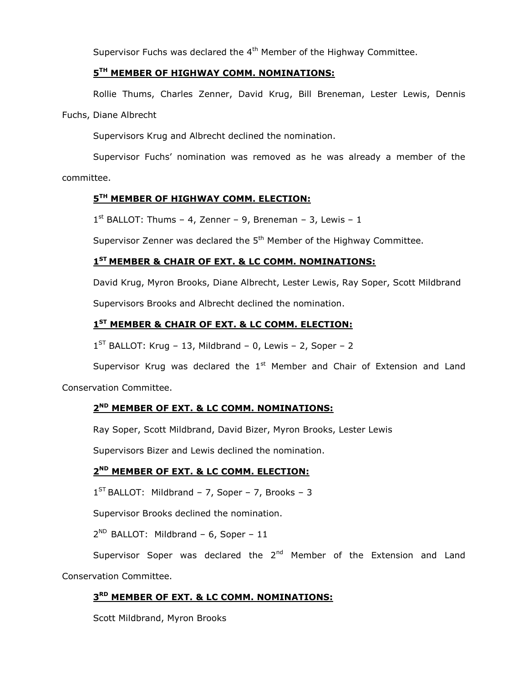Supervisor Fuchs was declared the 4<sup>th</sup> Member of the Highway Committee.

# **5 TH MEMBER OF HIGHWAY COMM. NOMINATIONS:**

Rollie Thums, Charles Zenner, David Krug, Bill Breneman, Lester Lewis, Dennis

Fuchs, Diane Albrecht

Supervisors Krug and Albrecht declined the nomination.

Supervisor Fuchs' nomination was removed as he was already a member of the committee.

# **5 TH MEMBER OF HIGHWAY COMM. ELECTION:**

 $1<sup>st</sup>$  BALLOT: Thums - 4, Zenner - 9, Breneman - 3, Lewis - 1

Supervisor Zenner was declared the  $5<sup>th</sup>$  Member of the Highway Committee.

# **1 ST MEMBER & CHAIR OF EXT. & LC COMM. NOMINATIONS:**

David Krug, Myron Brooks, Diane Albrecht, Lester Lewis, Ray Soper, Scott Mildbrand Supervisors Brooks and Albrecht declined the nomination.

# **1 ST MEMBER & CHAIR OF EXT. & LC COMM. ELECTION:**

 $1<sup>ST</sup>$  BALLOT: Krug – 13, Mildbrand – 0, Lewis – 2, Soper – 2

Supervisor Krug was declared the  $1<sup>st</sup>$  Member and Chair of Extension and Land

Conservation Committee.

## **2 ND MEMBER OF EXT. & LC COMM. NOMINATIONS:**

Ray Soper, Scott Mildbrand, David Bizer, Myron Brooks, Lester Lewis

Supervisors Bizer and Lewis declined the nomination.

# **2 ND MEMBER OF EXT. & LC COMM. ELECTION:**

 $1^{ST}$  BALLOT: Mildbrand - 7, Soper - 7, Brooks - 3

Supervisor Brooks declined the nomination.

2<sup>ND</sup> BALLOT: Mildbrand - 6, Soper - 11

Supervisor Soper was declared the  $2^{nd}$  Member of the Extension and Land Conservation Committee.

## **3 RD MEMBER OF EXT. & LC COMM. NOMINATIONS:**

Scott Mildbrand, Myron Brooks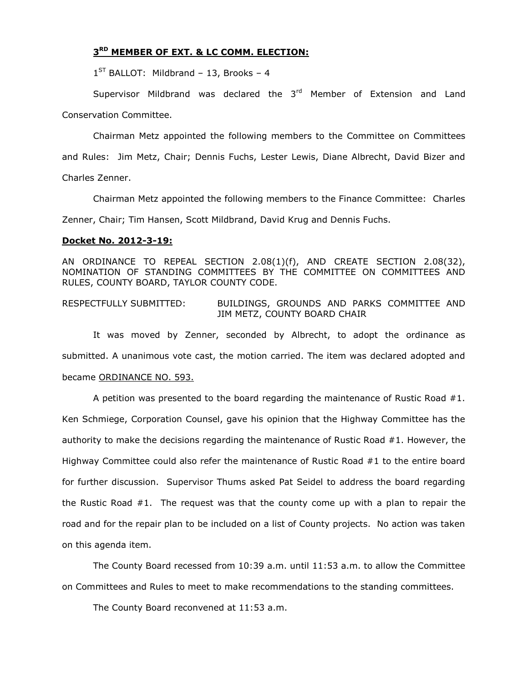## **3 RD MEMBER OF EXT. & LC COMM. ELECTION:**

1<sup>ST</sup> BALLOT: Mildbrand - 13, Brooks - 4

Supervisor Mildbrand was declared the  $3<sup>rd</sup>$  Member of Extension and Land Conservation Committee.

Chairman Metz appointed the following members to the Committee on Committees and Rules: Jim Metz, Chair; Dennis Fuchs, Lester Lewis, Diane Albrecht, David Bizer and Charles Zenner.

Chairman Metz appointed the following members to the Finance Committee: Charles Zenner, Chair; Tim Hansen, Scott Mildbrand, David Krug and Dennis Fuchs.

### **Docket No. 2012-3-19:**

AN ORDINANCE TO REPEAL SECTION 2.08(1)(f), AND CREATE SECTION 2.08(32), NOMINATION OF STANDING COMMITTEES BY THE COMMITTEE ON COMMITTEES AND RULES, COUNTY BOARD, TAYLOR COUNTY CODE.

## RESPECTFULLY SUBMITTED: BUILDINGS, GROUNDS AND PARKS COMMITTEE AND JIM METZ, COUNTY BOARD CHAIR

It was moved by Zenner, seconded by Albrecht, to adopt the ordinance as submitted. A unanimous vote cast, the motion carried. The item was declared adopted and became ORDINANCE NO. 593.

A petition was presented to the board regarding the maintenance of Rustic Road #1. Ken Schmiege, Corporation Counsel, gave his opinion that the Highway Committee has the authority to make the decisions regarding the maintenance of Rustic Road #1. However, the Highway Committee could also refer the maintenance of Rustic Road #1 to the entire board for further discussion. Supervisor Thums asked Pat Seidel to address the board regarding the Rustic Road #1. The request was that the county come up with a plan to repair the road and for the repair plan to be included on a list of County projects. No action was taken on this agenda item.

The County Board recessed from 10:39 a.m. until 11:53 a.m. to allow the Committee on Committees and Rules to meet to make recommendations to the standing committees.

The County Board reconvened at 11:53 a.m.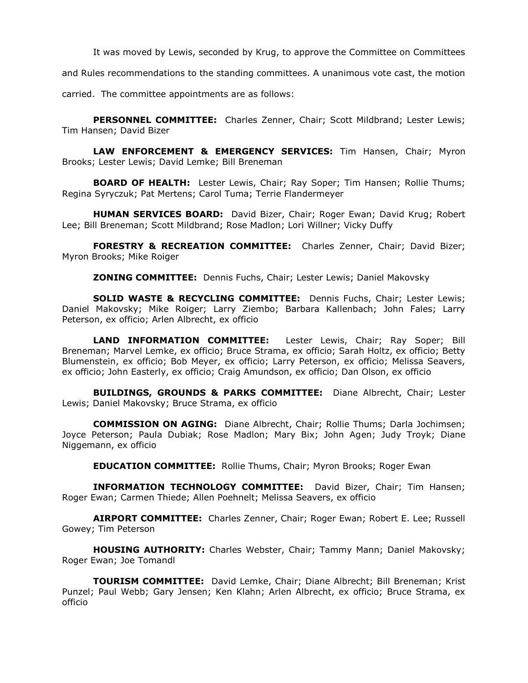It was moved by Lewis, seconded by Krug, to approve the Committee on Committees

and Rules recommendations to the standing committees. A unanimous vote cast, the motion

carried. The committee appointments are as follows:

**PERSONNEL COMMITTEE:** Charles Zenner, Chair; Scott Mildbrand; Lester Lewis; Tim Hansen; David Bizer

**LAW ENFORCEMENT & EMERGENCY SERVICES:** Tim Hansen, Chair; Myron Brooks; Lester Lewis; David Lemke; Bill Breneman

**BOARD OF HEALTH:** Lester Lewis, Chair; Ray Soper; Tim Hansen; Rollie Thums; Regina Syryczuk; Pat Mertens; Carol Tuma; Terrie Flandermeyer

**HUMAN SERVICES BOARD:** David Bizer, Chair; Roger Ewan; David Krug; Robert Lee; Bill Breneman; Scott Mildbrand; Rose Madlon; Lori Willner; Vicky Duffy

**FORESTRY & RECREATION COMMITTEE:** Charles Zenner, Chair; David Bizer; Myron Brooks; Mike Roiger

**ZONING COMMITTEE:** Dennis Fuchs, Chair; Lester Lewis; Daniel Makovsky

**SOLID WASTE & RECYCLING COMMITTEE:** Dennis Fuchs, Chair; Lester Lewis; Daniel Makovsky; Mike Roiger; Larry Ziembo; Barbara Kallenbach; John Fales; Larry Peterson, ex officio; Arlen Albrecht, ex officio

**LAND INFORMATION COMMITTEE:** Lester Lewis, Chair; Ray Soper; Bill Breneman; Marvel Lemke, ex officio; Bruce Strama, ex officio; Sarah Holtz, ex officio; Betty Blumenstein, ex officio; Bob Meyer, ex officio; Larry Peterson, ex officio; Melissa Seavers, ex officio; John Easterly, ex officio; Craig Amundson, ex officio; Dan Olson, ex officio

**BUILDINGS, GROUNDS & PARKS COMMITTEE:** Diane Albrecht, Chair; Lester Lewis; Daniel Makovsky; Bruce Strama, ex officio

**COMMISSION ON AGING:** Diane Albrecht, Chair; Rollie Thums; Darla Jochimsen; Joyce Peterson; Paula Dubiak; Rose Madlon; Mary Bix; John Agen; Judy Troyk; Diane Niggemann, ex officio

**EDUCATION COMMITTEE:** Rollie Thums, Chair; Myron Brooks; Roger Ewan

**INFORMATION TECHNOLOGY COMMITTEE:** David Bizer, Chair; Tim Hansen; Roger Ewan; Carmen Thiede; Allen Poehnelt; Melissa Seavers, ex officio

**AIRPORT COMMITTEE:** Charles Zenner, Chair; Roger Ewan; Robert E. Lee; Russell Gowey; Tim Peterson

**HOUSING AUTHORITY:** Charles Webster, Chair; Tammy Mann; Daniel Makovsky; Roger Ewan; Joe Tomandl

**TOURISM COMMITTEE:** David Lemke, Chair; Diane Albrecht; Bill Breneman; Krist Punzel; Paul Webb; Gary Jensen; Ken Klahn; Arlen Albrecht, ex officio; Bruce Strama, ex officio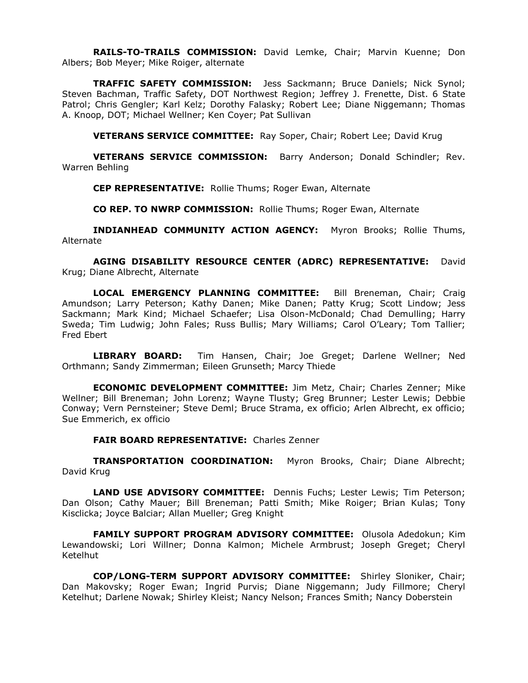**RAILS-TO-TRAILS COMMISSION:** David Lemke, Chair; Marvin Kuenne; Don Albers; Bob Meyer; Mike Roiger, alternate

**TRAFFIC SAFETY COMMISSION:** Jess Sackmann; Bruce Daniels; Nick Synol; Steven Bachman, Traffic Safety, DOT Northwest Region; Jeffrey J. Frenette, Dist. 6 State Patrol; Chris Gengler; Karl Kelz; Dorothy Falasky; Robert Lee; Diane Niggemann; Thomas A. Knoop, DOT; Michael Wellner; Ken Coyer; Pat Sullivan

**VETERANS SERVICE COMMITTEE:** Ray Soper, Chair; Robert Lee; David Krug

**VETERANS SERVICE COMMISSION:** Barry Anderson; Donald Schindler; Rev. Warren Behling

**CEP REPRESENTATIVE:** Rollie Thums; Roger Ewan, Alternate

**CO REP. TO NWRP COMMISSION:** Rollie Thums; Roger Ewan, Alternate

**INDIANHEAD COMMUNITY ACTION AGENCY:** Myron Brooks; Rollie Thums, Alternate

**AGING DISABILITY RESOURCE CENTER (ADRC) REPRESENTATIVE:** David Krug; Diane Albrecht, Alternate

**LOCAL EMERGENCY PLANNING COMMITTEE:** Bill Breneman, Chair; Craig Amundson; Larry Peterson; Kathy Danen; Mike Danen; Patty Krug; Scott Lindow; Jess Sackmann; Mark Kind; Michael Schaefer; Lisa Olson-McDonald; Chad Demulling; Harry Sweda; Tim Ludwig; John Fales; Russ Bullis; Mary Williams; Carol O'Leary; Tom Tallier; Fred Ebert

**LIBRARY BOARD:** Tim Hansen, Chair; Joe Greget; Darlene Wellner; Ned Orthmann; Sandy Zimmerman; Eileen Grunseth; Marcy Thiede

**ECONOMIC DEVELOPMENT COMMITTEE:** Jim Metz, Chair; Charles Zenner; Mike Wellner; Bill Breneman; John Lorenz; Wayne Tlusty; Greg Brunner; Lester Lewis; Debbie Conway; Vern Pernsteiner; Steve Deml; Bruce Strama, ex officio; Arlen Albrecht, ex officio; Sue Emmerich, ex officio

**FAIR BOARD REPRESENTATIVE:** Charles Zenner

**TRANSPORTATION COORDINATION:** Myron Brooks, Chair; Diane Albrecht; David Krug

**LAND USE ADVISORY COMMITTEE:** Dennis Fuchs; Lester Lewis; Tim Peterson; Dan Olson; Cathy Mauer; Bill Breneman; Patti Smith; Mike Roiger; Brian Kulas; Tony Kisclicka; Joyce Balciar; Allan Mueller; Greg Knight

**FAMILY SUPPORT PROGRAM ADVISORY COMMITTEE:** Olusola Adedokun; Kim Lewandowski; Lori Willner; Donna Kalmon; Michele Armbrust; Joseph Greget; Cheryl Ketelhut

**COP/LONG-TERM SUPPORT ADVISORY COMMITTEE:** Shirley Sloniker, Chair; Dan Makovsky; Roger Ewan; Ingrid Purvis; Diane Niggemann; Judy Fillmore; Cheryl Ketelhut; Darlene Nowak; Shirley Kleist; Nancy Nelson; Frances Smith; Nancy Doberstein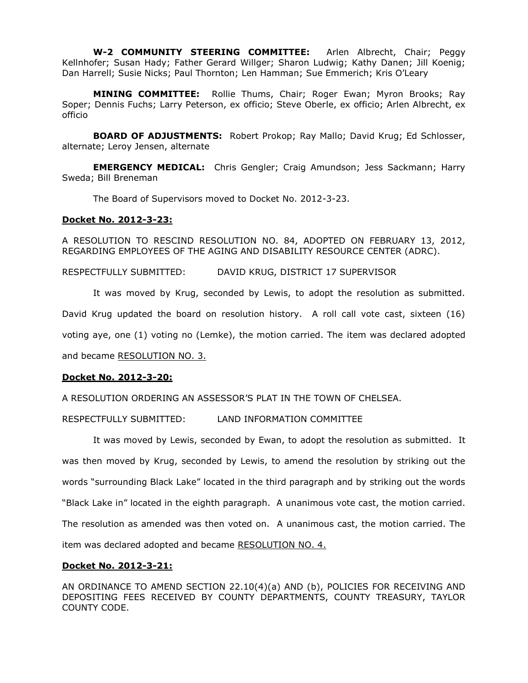**W-2 COMMUNITY STEERING COMMITTEE:** Arlen Albrecht, Chair; Peggy Kellnhofer; Susan Hady; Father Gerard Willger; Sharon Ludwig; Kathy Danen; Jill Koenig; Dan Harrell; Susie Nicks; Paul Thornton; Len Hamman; Sue Emmerich; Kris O'Leary

**MINING COMMITTEE:** Rollie Thums, Chair; Roger Ewan; Myron Brooks; Ray Soper; Dennis Fuchs; Larry Peterson, ex officio; Steve Oberle, ex officio; Arlen Albrecht, ex officio

**BOARD OF ADJUSTMENTS:** Robert Prokop; Ray Mallo; David Krug; Ed Schlosser, alternate; Leroy Jensen, alternate

**EMERGENCY MEDICAL:** Chris Gengler; Craig Amundson; Jess Sackmann; Harry Sweda; Bill Breneman

The Board of Supervisors moved to Docket No. 2012-3-23.

### **Docket No. 2012-3-23:**

A RESOLUTION TO RESCIND RESOLUTION NO. 84, ADOPTED ON FEBRUARY 13, 2012, REGARDING EMPLOYEES OF THE AGING AND DISABILITY RESOURCE CENTER (ADRC).

RESPECTFULLY SUBMITTED: DAVID KRUG, DISTRICT 17 SUPERVISOR

It was moved by Krug, seconded by Lewis, to adopt the resolution as submitted.

David Krug updated the board on resolution history. A roll call vote cast, sixteen (16)

voting aye, one (1) voting no (Lemke), the motion carried. The item was declared adopted

and became RESOLUTION NO. 3.

## **Docket No. 2012-3-20:**

A RESOLUTION ORDERING AN ASSESSOR'S PLAT IN THE TOWN OF CHELSEA.

RESPECTFULLY SUBMITTED: LAND INFORMATION COMMITTEE

It was moved by Lewis, seconded by Ewan, to adopt the resolution as submitted. It was then moved by Krug, seconded by Lewis, to amend the resolution by striking out the words "surrounding Black Lake" located in the third paragraph and by striking out the words "Black Lake in" located in the eighth paragraph. A unanimous vote cast, the motion carried. The resolution as amended was then voted on. A unanimous cast, the motion carried. The item was declared adopted and became RESOLUTION NO. 4.

### **Docket No. 2012-3-21:**

AN ORDINANCE TO AMEND SECTION 22.10(4)(a) AND (b), POLICIES FOR RECEIVING AND DEPOSITING FEES RECEIVED BY COUNTY DEPARTMENTS, COUNTY TREASURY, TAYLOR COUNTY CODE.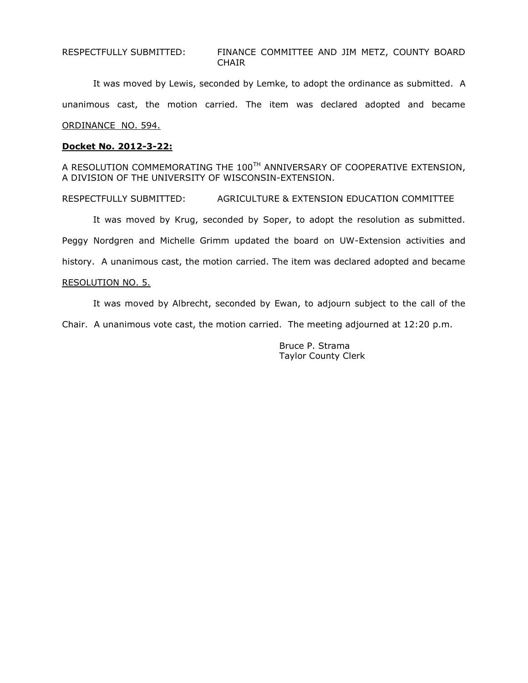RESPECTFULLY SUBMITTED: FINANCE COMMITTEE AND JIM METZ, COUNTY BOARD CHAIR

It was moved by Lewis, seconded by Lemke, to adopt the ordinance as submitted. A unanimous cast, the motion carried. The item was declared adopted and became ORDINANCE NO. 594.

### **Docket No. 2012-3-22:**

A RESOLUTION COMMEMORATING THE 100TH ANNIVERSARY OF COOPERATIVE EXTENSION, A DIVISION OF THE UNIVERSITY OF WISCONSIN-EXTENSION.

RESPECTFULLY SUBMITTED: AGRICULTURE & EXTENSION EDUCATION COMMITTEE

It was moved by Krug, seconded by Soper, to adopt the resolution as submitted. Peggy Nordgren and Michelle Grimm updated the board on UW-Extension activities and history. A unanimous cast, the motion carried. The item was declared adopted and became

## RESOLUTION NO. 5.

It was moved by Albrecht, seconded by Ewan, to adjourn subject to the call of the

Chair. A unanimous vote cast, the motion carried. The meeting adjourned at 12:20 p.m.

Bruce P. Strama Taylor County Clerk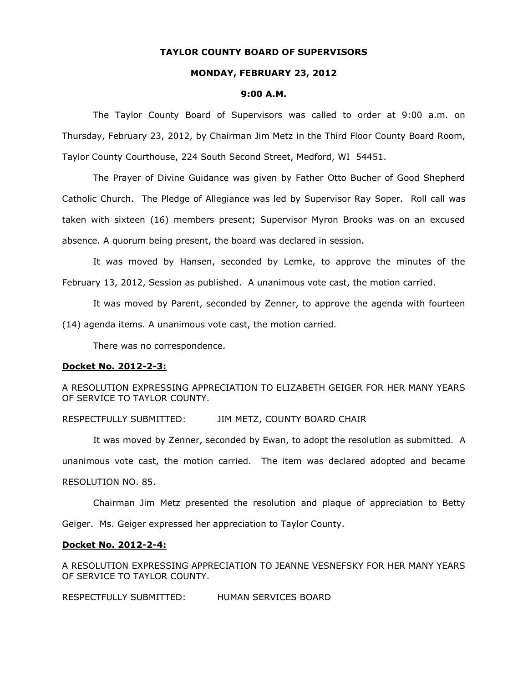## **TAYLOR COUNTY BOARD OF SUPERVISORS**

### **MONDAY, FEBRUARY 23, 2012**

#### **9:00 A.M.**

The Taylor County Board of Supervisors was called to order at 9:00 a.m. on Thursday, February 23, 2012, by Chairman Jim Metz in the Third Floor County Board Room, Taylor County Courthouse, 224 South Second Street, Medford, WI 54451.

The Prayer of Divine Guidance was given by Father Otto Bucher of Good Shepherd Catholic Church. The Pledge of Allegiance was led by Supervisor Ray Soper. Roll call was taken with sixteen (16) members present; Supervisor Myron Brooks was on an excused absence. A quorum being present, the board was declared in session.

It was moved by Hansen, seconded by Lemke, to approve the minutes of the February 13, 2012, Session as published. A unanimous vote cast, the motion carried.

It was moved by Parent, seconded by Zenner, to approve the agenda with fourteen

(14) agenda items. A unanimous vote cast, the motion carried.

There was no correspondence.

#### **Docket No. 2012-2-3:**

A RESOLUTION EXPRESSING APPRECIATION TO ELIZABETH GEIGER FOR HER MANY YEARS OF SERVICE TO TAYLOR COUNTY.

RESPECTFULLY SUBMITTED: JIM METZ, COUNTY BOARD CHAIR

It was moved by Zenner, seconded by Ewan, to adopt the resolution as submitted. A unanimous vote cast, the motion carried. The item was declared adopted and became

#### RESOLUTION NO. 85.

Chairman Jim Metz presented the resolution and plaque of appreciation to Betty Geiger. Ms. Geiger expressed her appreciation to Taylor County.

#### **Docket No. 2012-2-4:**

A RESOLUTION EXPRESSING APPRECIATION TO JEANNE VESNEFSKY FOR HER MANY YEARS OF SERVICE TO TAYLOR COUNTY.

RESPECTFULLY SUBMITTED: HUMAN SERVICES BOARD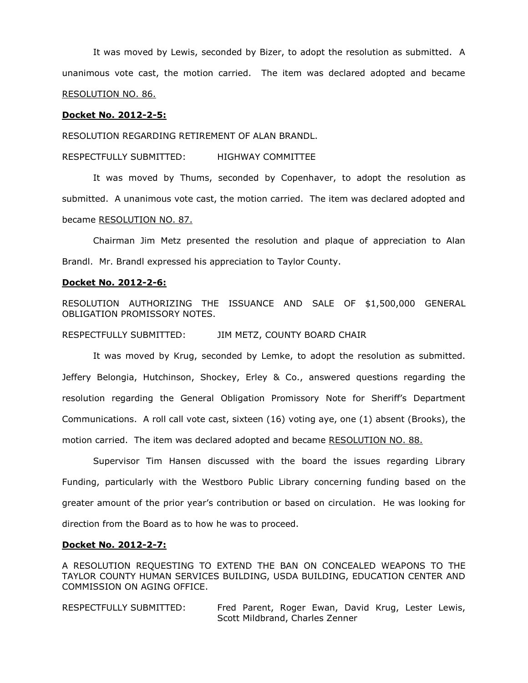It was moved by Lewis, seconded by Bizer, to adopt the resolution as submitted. A unanimous vote cast, the motion carried. The item was declared adopted and became RESOLUTION NO. 86.

### **Docket No. 2012-2-5:**

RESOLUTION REGARDING RETIREMENT OF ALAN BRANDL.

RESPECTFULLY SUBMITTED: HIGHWAY COMMITTEE

It was moved by Thums, seconded by Copenhaver, to adopt the resolution as submitted. A unanimous vote cast, the motion carried. The item was declared adopted and became RESOLUTION NO. 87.

Chairman Jim Metz presented the resolution and plaque of appreciation to Alan Brandl. Mr. Brandl expressed his appreciation to Taylor County.

### **Docket No. 2012-2-6:**

RESOLUTION AUTHORIZING THE ISSUANCE AND SALE OF \$1,500,000 GENERAL OBLIGATION PROMISSORY NOTES.

RESPECTFULLY SUBMITTED: JIM METZ, COUNTY BOARD CHAIR

It was moved by Krug, seconded by Lemke, to adopt the resolution as submitted. Jeffery Belongia, Hutchinson, Shockey, Erley & Co., answered questions regarding the resolution regarding the General Obligation Promissory Note for Sheriff's Department Communications. A roll call vote cast, sixteen (16) voting aye, one (1) absent (Brooks), the motion carried. The item was declared adopted and became RESOLUTION NO. 88.

Supervisor Tim Hansen discussed with the board the issues regarding Library Funding, particularly with the Westboro Public Library concerning funding based on the greater amount of the prior year's contribution or based on circulation. He was looking for direction from the Board as to how he was to proceed.

#### **Docket No. 2012-2-7:**

A RESOLUTION REQUESTING TO EXTEND THE BAN ON CONCEALED WEAPONS TO THE TAYLOR COUNTY HUMAN SERVICES BUILDING, USDA BUILDING, EDUCATION CENTER AND COMMISSION ON AGING OFFICE.

RESPECTFULLY SUBMITTED: Fred Parent, Roger Ewan, David Krug, Lester Lewis, Scott Mildbrand, Charles Zenner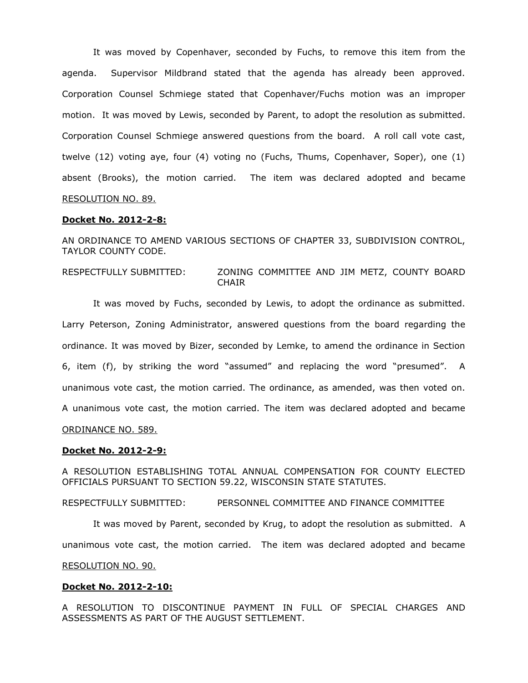It was moved by Copenhaver, seconded by Fuchs, to remove this item from the agenda. Supervisor Mildbrand stated that the agenda has already been approved. Corporation Counsel Schmiege stated that Copenhaver/Fuchs motion was an improper motion. It was moved by Lewis, seconded by Parent, to adopt the resolution as submitted. Corporation Counsel Schmiege answered questions from the board. A roll call vote cast, twelve (12) voting aye, four (4) voting no (Fuchs, Thums, Copenhaver, Soper), one (1) absent (Brooks), the motion carried. The item was declared adopted and became RESOLUTION NO. 89.

## **Docket No. 2012-2-8:**

AN ORDINANCE TO AMEND VARIOUS SECTIONS OF CHAPTER 33, SUBDIVISION CONTROL, TAYLOR COUNTY CODE.

RESPECTFULLY SUBMITTED: ZONING COMMITTEE AND JIM METZ, COUNTY BOARD CHAIR

It was moved by Fuchs, seconded by Lewis, to adopt the ordinance as submitted. Larry Peterson, Zoning Administrator, answered questions from the board regarding the ordinance. It was moved by Bizer, seconded by Lemke, to amend the ordinance in Section 6, item (f), by striking the word "assumed" and replacing the word "presumed". A unanimous vote cast, the motion carried. The ordinance, as amended, was then voted on. A unanimous vote cast, the motion carried. The item was declared adopted and became ORDINANCE NO. 589.

### **Docket No. 2012-2-9:**

A RESOLUTION ESTABLISHING TOTAL ANNUAL COMPENSATION FOR COUNTY ELECTED OFFICIALS PURSUANT TO SECTION 59.22, WISCONSIN STATE STATUTES.

RESPECTFULLY SUBMITTED: PERSONNEL COMMITTEE AND FINANCE COMMITTEE

It was moved by Parent, seconded by Krug, to adopt the resolution as submitted. A unanimous vote cast, the motion carried. The item was declared adopted and became RESOLUTION NO. 90.

#### **Docket No. 2012-2-10:**

A RESOLUTION TO DISCONTINUE PAYMENT IN FULL OF SPECIAL CHARGES AND ASSESSMENTS AS PART OF THE AUGUST SETTLEMENT.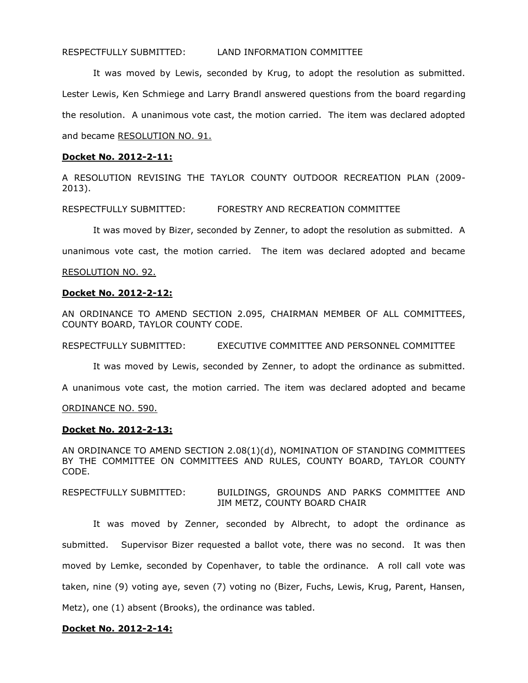## RESPECTFULLY SUBMITTED: LAND INFORMATION COMMITTEE

It was moved by Lewis, seconded by Krug, to adopt the resolution as submitted. Lester Lewis, Ken Schmiege and Larry Brandl answered questions from the board regarding the resolution. A unanimous vote cast, the motion carried. The item was declared adopted and became RESOLUTION NO. 91.

# **Docket No. 2012-2-11:**

A RESOLUTION REVISING THE TAYLOR COUNTY OUTDOOR RECREATION PLAN (2009- 2013).

RESPECTFULLY SUBMITTED: FORESTRY AND RECREATION COMMITTEE

It was moved by Bizer, seconded by Zenner, to adopt the resolution as submitted. A

unanimous vote cast, the motion carried. The item was declared adopted and became

## RESOLUTION NO. 92.

## **Docket No. 2012-2-12:**

AN ORDINANCE TO AMEND SECTION 2.095, CHAIRMAN MEMBER OF ALL COMMITTEES, COUNTY BOARD, TAYLOR COUNTY CODE.

RESPECTFULLY SUBMITTED: EXECUTIVE COMMITTEE AND PERSONNEL COMMITTEE

It was moved by Lewis, seconded by Zenner, to adopt the ordinance as submitted.

A unanimous vote cast, the motion carried. The item was declared adopted and became

ORDINANCE NO. 590.

## **Docket No. 2012-2-13:**

AN ORDINANCE TO AMEND SECTION 2.08(1)(d), NOMINATION OF STANDING COMMITTEES BY THE COMMITTEE ON COMMITTEES AND RULES, COUNTY BOARD, TAYLOR COUNTY CODE.

## RESPECTFULLY SUBMITTED: BUILDINGS, GROUNDS AND PARKS COMMITTEE AND JIM METZ, COUNTY BOARD CHAIR

It was moved by Zenner, seconded by Albrecht, to adopt the ordinance as submitted. Supervisor Bizer requested a ballot vote, there was no second. It was then moved by Lemke, seconded by Copenhaver, to table the ordinance. A roll call vote was taken, nine (9) voting aye, seven (7) voting no (Bizer, Fuchs, Lewis, Krug, Parent, Hansen, Metz), one (1) absent (Brooks), the ordinance was tabled.

## **Docket No. 2012-2-14:**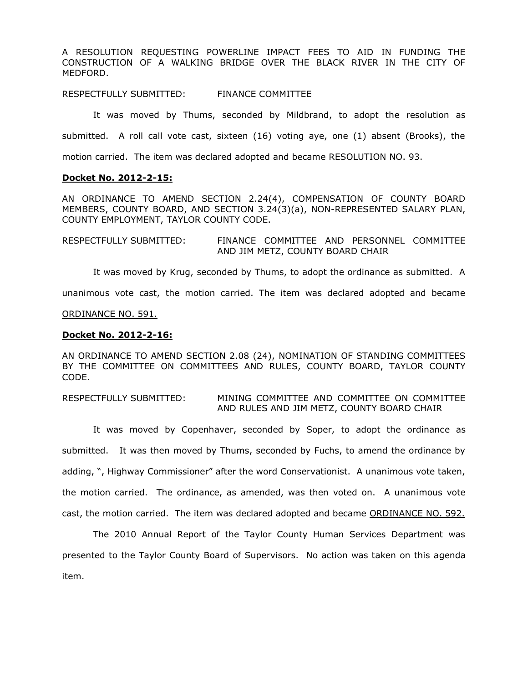A RESOLUTION REQUESTING POWERLINE IMPACT FEES TO AID IN FUNDING THE CONSTRUCTION OF A WALKING BRIDGE OVER THE BLACK RIVER IN THE CITY OF MEDFORD.

RESPECTFULLY SUBMITTED: FINANCE COMMITTEE

It was moved by Thums, seconded by Mildbrand, to adopt the resolution as submitted. A roll call vote cast, sixteen (16) voting aye, one (1) absent (Brooks), the

motion carried. The item was declared adopted and became RESOLUTION NO. 93.

### **Docket No. 2012-2-15:**

AN ORDINANCE TO AMEND SECTION 2.24(4), COMPENSATION OF COUNTY BOARD MEMBERS, COUNTY BOARD, AND SECTION 3.24(3)(a), NON-REPRESENTED SALARY PLAN, COUNTY EMPLOYMENT, TAYLOR COUNTY CODE.

RESPECTFULLY SUBMITTED: FINANCE COMMITTEE AND PERSONNEL COMMITTEE AND JIM METZ, COUNTY BOARD CHAIR

It was moved by Krug, seconded by Thums, to adopt the ordinance as submitted. A

unanimous vote cast, the motion carried. The item was declared adopted and became

ORDINANCE NO. 591.

### **Docket No. 2012-2-16:**

AN ORDINANCE TO AMEND SECTION 2.08 (24), NOMINATION OF STANDING COMMITTEES BY THE COMMITTEE ON COMMITTEES AND RULES, COUNTY BOARD, TAYLOR COUNTY CODE.

## RESPECTFULLY SUBMITTED: MINING COMMITTEE AND COMMITTEE ON COMMITTEE AND RULES AND JIM METZ, COUNTY BOARD CHAIR

It was moved by Copenhaver, seconded by Soper, to adopt the ordinance as submitted. It was then moved by Thums, seconded by Fuchs, to amend the ordinance by adding, ", Highway Commissioner" after the word Conservationist. A unanimous vote taken, the motion carried. The ordinance, as amended, was then voted on. A unanimous vote cast, the motion carried. The item was declared adopted and became ORDINANCE NO. 592.

The 2010 Annual Report of the Taylor County Human Services Department was presented to the Taylor County Board of Supervisors. No action was taken on this agenda item.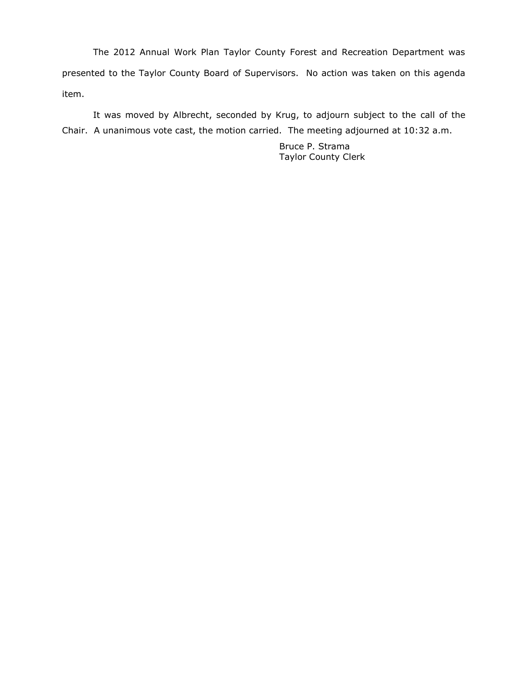The 2012 Annual Work Plan Taylor County Forest and Recreation Department was presented to the Taylor County Board of Supervisors. No action was taken on this agenda item.

It was moved by Albrecht, seconded by Krug, to adjourn subject to the call of the Chair. A unanimous vote cast, the motion carried. The meeting adjourned at 10:32 a.m.

> Bruce P. Strama Taylor County Clerk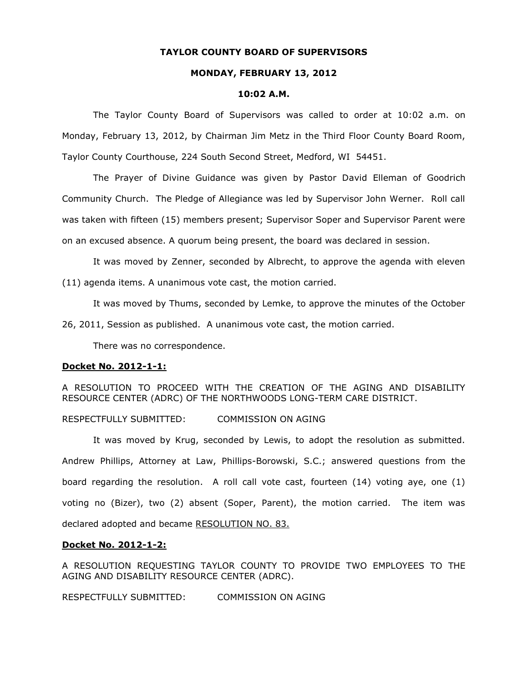## **TAYLOR COUNTY BOARD OF SUPERVISORS**

#### **MONDAY, FEBRUARY 13, 2012**

#### **10:02 A.M.**

The Taylor County Board of Supervisors was called to order at 10:02 a.m. on Monday, February 13, 2012, by Chairman Jim Metz in the Third Floor County Board Room, Taylor County Courthouse, 224 South Second Street, Medford, WI 54451.

The Prayer of Divine Guidance was given by Pastor David Elleman of Goodrich Community Church. The Pledge of Allegiance was led by Supervisor John Werner. Roll call was taken with fifteen (15) members present; Supervisor Soper and Supervisor Parent were on an excused absence. A quorum being present, the board was declared in session.

It was moved by Zenner, seconded by Albrecht, to approve the agenda with eleven (11) agenda items. A unanimous vote cast, the motion carried.

It was moved by Thums, seconded by Lemke, to approve the minutes of the October

26, 2011, Session as published. A unanimous vote cast, the motion carried.

There was no correspondence.

#### **Docket No. 2012-1-1:**

A RESOLUTION TO PROCEED WITH THE CREATION OF THE AGING AND DISABILITY RESOURCE CENTER (ADRC) OF THE NORTHWOODS LONG-TERM CARE DISTRICT.

### RESPECTFULLY SUBMITTED: COMMISSION ON AGING

It was moved by Krug, seconded by Lewis, to adopt the resolution as submitted. Andrew Phillips, Attorney at Law, Phillips-Borowski, S.C.; answered questions from the board regarding the resolution. A roll call vote cast, fourteen (14) voting aye, one (1) voting no (Bizer), two (2) absent (Soper, Parent), the motion carried. The item was declared adopted and became RESOLUTION NO. 83.

# **Docket No. 2012-1-2:**

A RESOLUTION REQUESTING TAYLOR COUNTY TO PROVIDE TWO EMPLOYEES TO THE AGING AND DISABILITY RESOURCE CENTER (ADRC).

RESPECTFULLY SUBMITTED: COMMISSION ON AGING